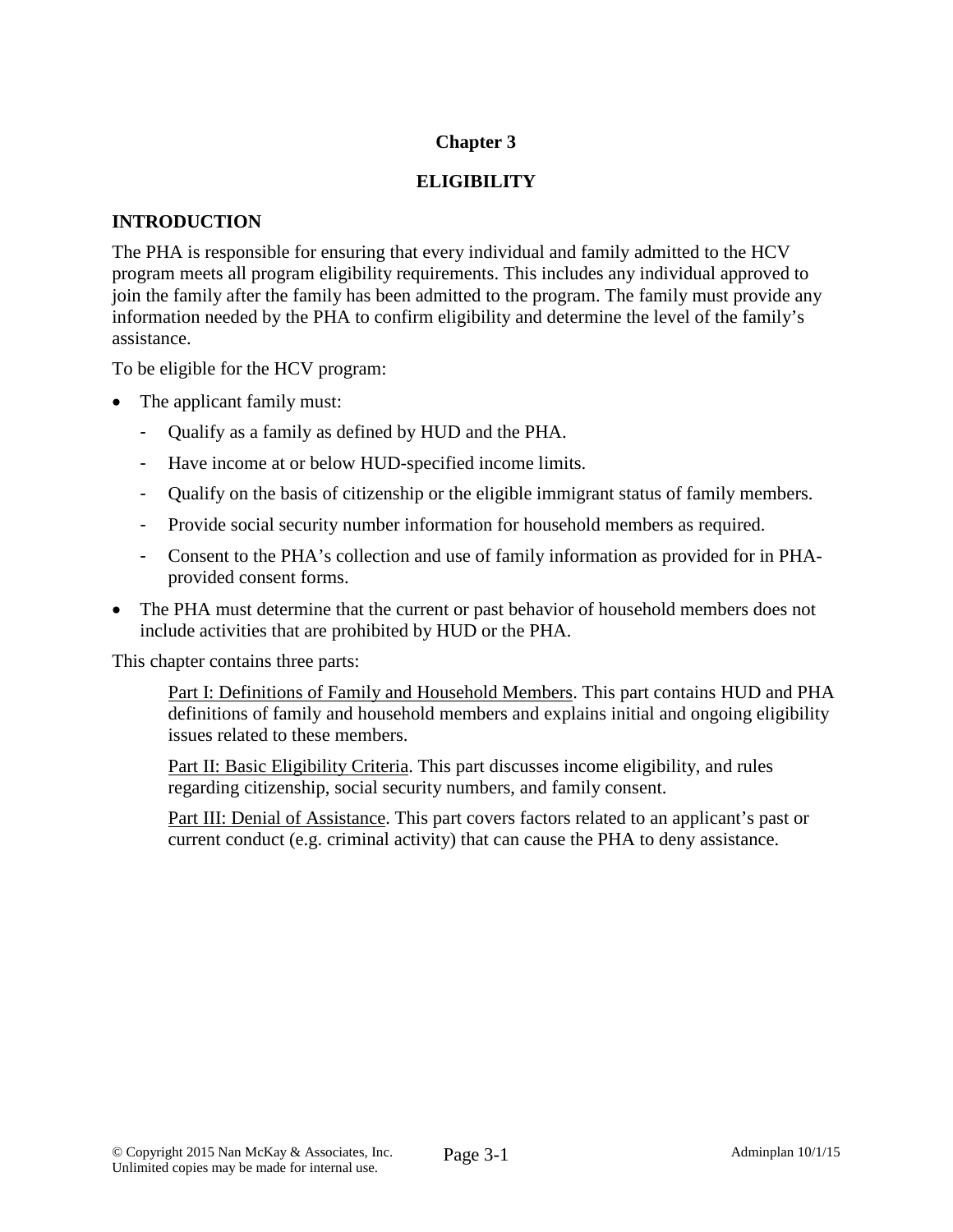# **Chapter 3**

## **ELIGIBILITY**

### **INTRODUCTION**

The PHA is responsible for ensuring that every individual and family admitted to the HCV program meets all program eligibility requirements. This includes any individual approved to join the family after the family has been admitted to the program. The family must provide any information needed by the PHA to confirm eligibility and determine the level of the family's assistance.

To be eligible for the HCV program:

- The applicant family must:
	- Qualify as a family as defined by HUD and the PHA.
	- Have income at or below HUD-specified income limits.
	- Qualify on the basis of citizenship or the eligible immigrant status of family members.
	- Provide social security number information for household members as required.
	- Consent to the PHA's collection and use of family information as provided for in PHAprovided consent forms.
- The PHA must determine that the current or past behavior of household members does not include activities that are prohibited by HUD or the PHA.

This chapter contains three parts:

Part I: Definitions of Family and Household Members. This part contains HUD and PHA definitions of family and household members and explains initial and ongoing eligibility issues related to these members.

Part II: Basic Eligibility Criteria. This part discusses income eligibility, and rules regarding citizenship, social security numbers, and family consent.

Part III: Denial of Assistance. This part covers factors related to an applicant's past or current conduct (e.g. criminal activity) that can cause the PHA to deny assistance.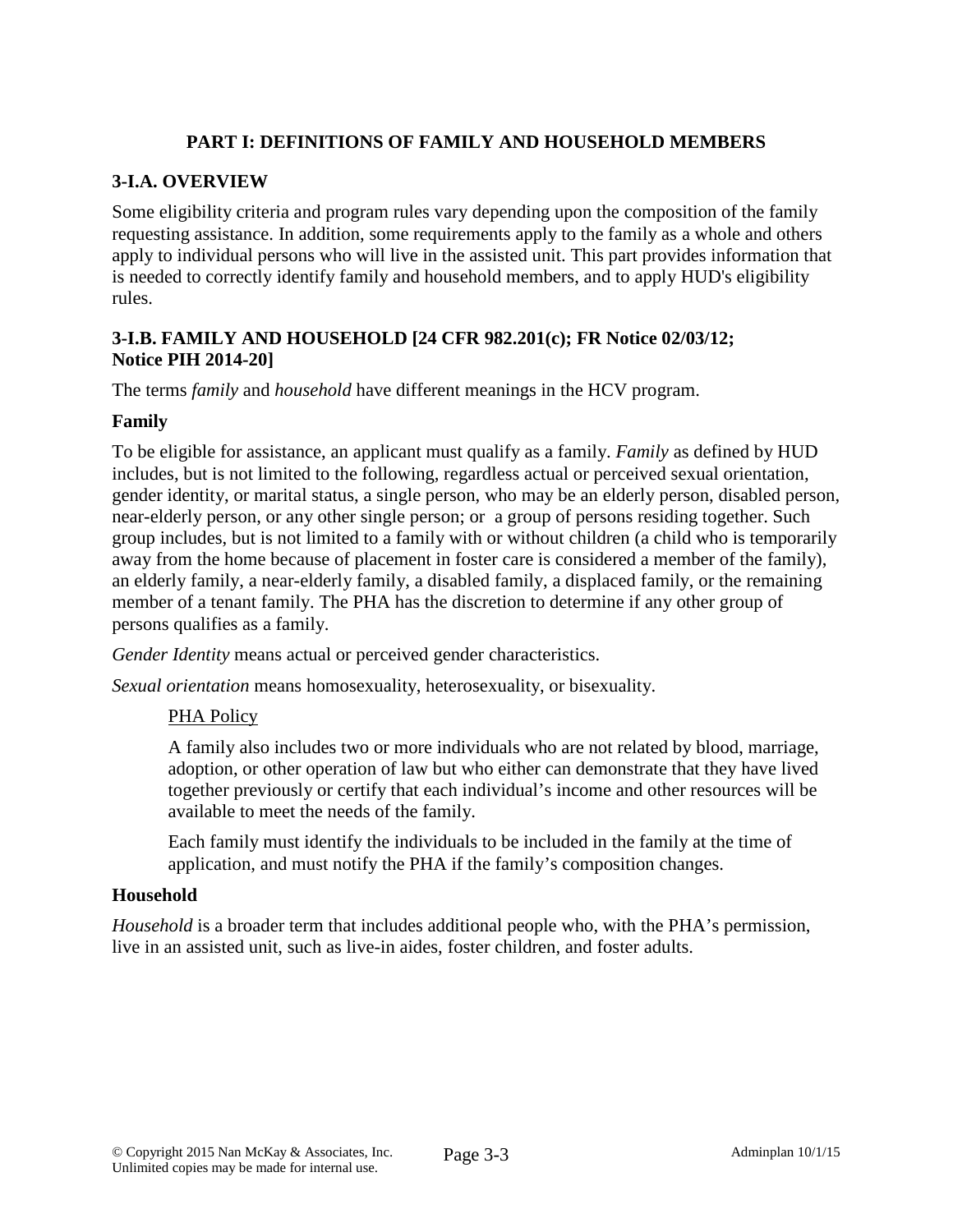# **PART I: DEFINITIONS OF FAMILY AND HOUSEHOLD MEMBERS**

## **3-I.A. OVERVIEW**

Some eligibility criteria and program rules vary depending upon the composition of the family requesting assistance. In addition, some requirements apply to the family as a whole and others apply to individual persons who will live in the assisted unit. This part provides information that is needed to correctly identify family and household members, and to apply HUD's eligibility rules.

### **3-I.B. FAMILY AND HOUSEHOLD [24 CFR 982.201(c); FR Notice 02/03/12; Notice PIH 2014-20]**

The terms *family* and *household* have different meanings in the HCV program.

### **Family**

To be eligible for assistance, an applicant must qualify as a family. *Family* as defined by HUD includes, but is not limited to the following, regardless actual or perceived sexual orientation, gender identity, or marital status, a single person, who may be an elderly person, disabled person, near-elderly person, or any other single person; or a group of persons residing together. Such group includes, but is not limited to a family with or without children (a child who is temporarily away from the home because of placement in foster care is considered a member of the family), an elderly family, a near-elderly family, a disabled family, a displaced family, or the remaining member of a tenant family. The PHA has the discretion to determine if any other group of persons qualifies as a family.

*Gender Identity* means actual or perceived gender characteristics.

*Sexual orientation* means homosexuality, heterosexuality, or bisexuality.

### PHA Policy

A family also includes two or more individuals who are not related by blood, marriage, adoption, or other operation of law but who either can demonstrate that they have lived together previously or certify that each individual's income and other resources will be available to meet the needs of the family.

Each family must identify the individuals to be included in the family at the time of application, and must notify the PHA if the family's composition changes.

### **Household**

*Household* is a broader term that includes additional people who, with the PHA's permission, live in an assisted unit, such as live-in aides, foster children, and foster adults.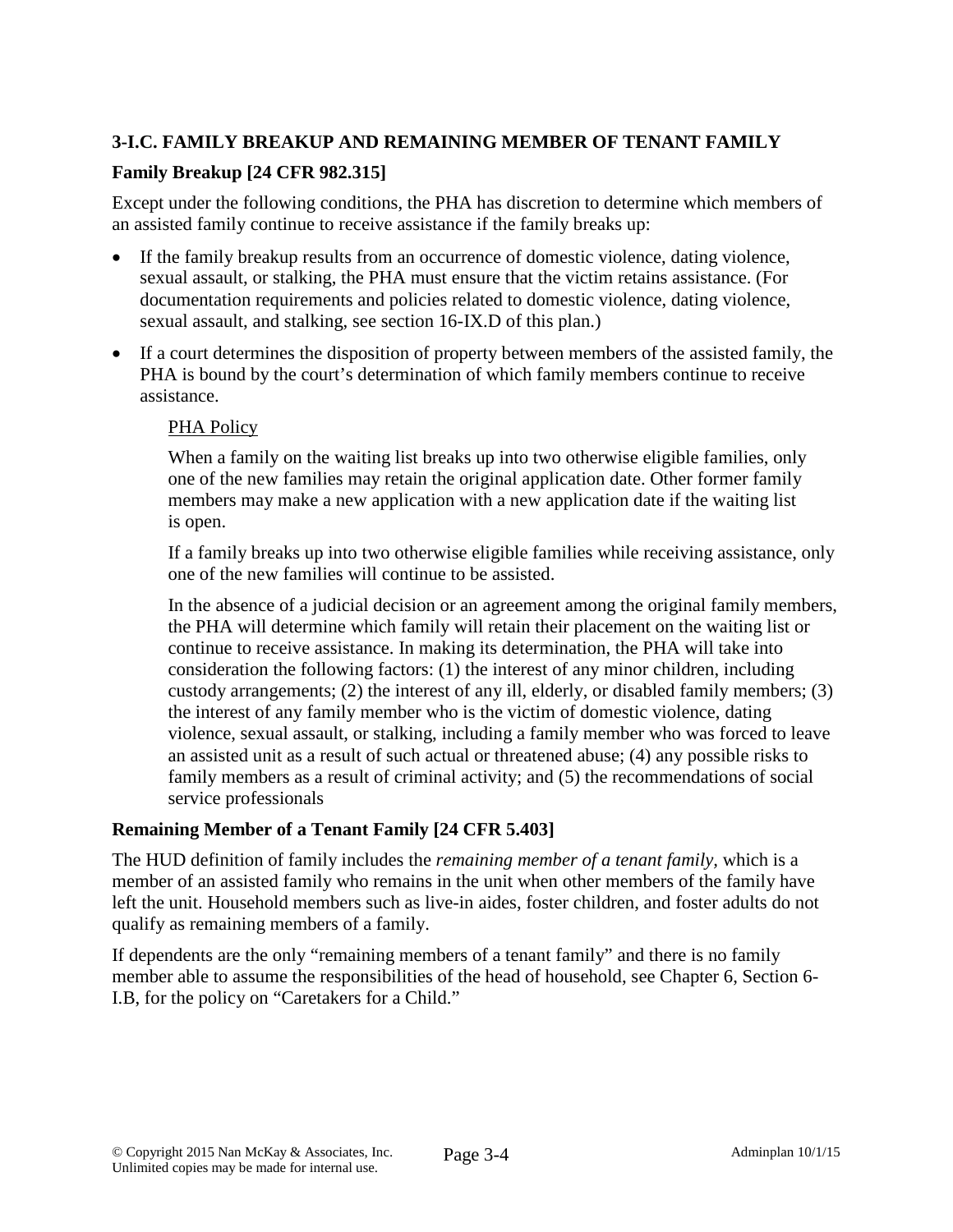# **3-I.C. FAMILY BREAKUP AND REMAINING MEMBER OF TENANT FAMILY**

# **Family Breakup [24 CFR 982.315]**

Except under the following conditions, the PHA has discretion to determine which members of an assisted family continue to receive assistance if the family breaks up:

- If the family breakup results from an occurrence of domestic violence, dating violence, sexual assault, or stalking, the PHA must ensure that the victim retains assistance. (For documentation requirements and policies related to domestic violence, dating violence, sexual assault, and stalking, see section 16-IX.D of this plan.)
- If a court determines the disposition of property between members of the assisted family, the PHA is bound by the court's determination of which family members continue to receive assistance.

### PHA Policy

When a family on the waiting list breaks up into two otherwise eligible families, only one of the new families may retain the original application date. Other former family members may make a new application with a new application date if the waiting list is open.

If a family breaks up into two otherwise eligible families while receiving assistance, only one of the new families will continue to be assisted.

In the absence of a judicial decision or an agreement among the original family members, the PHA will determine which family will retain their placement on the waiting list or continue to receive assistance. In making its determination, the PHA will take into consideration the following factors: (1) the interest of any minor children, including custody arrangements; (2) the interest of any ill, elderly, or disabled family members; (3) the interest of any family member who is the victim of domestic violence, dating violence, sexual assault, or stalking, including a family member who was forced to leave an assisted unit as a result of such actual or threatened abuse; (4) any possible risks to family members as a result of criminal activity; and (5) the recommendations of social service professionals

### **Remaining Member of a Tenant Family [24 CFR 5.403]**

The HUD definition of family includes the *remaining member of a tenant family,* which is a member of an assisted family who remains in the unit when other members of the family have left the unit. Household members such as live-in aides, foster children, and foster adults do not qualify as remaining members of a family.

If dependents are the only "remaining members of a tenant family" and there is no family member able to assume the responsibilities of the head of household, see Chapter 6, Section 6- I.B, for the policy on "Caretakers for a Child."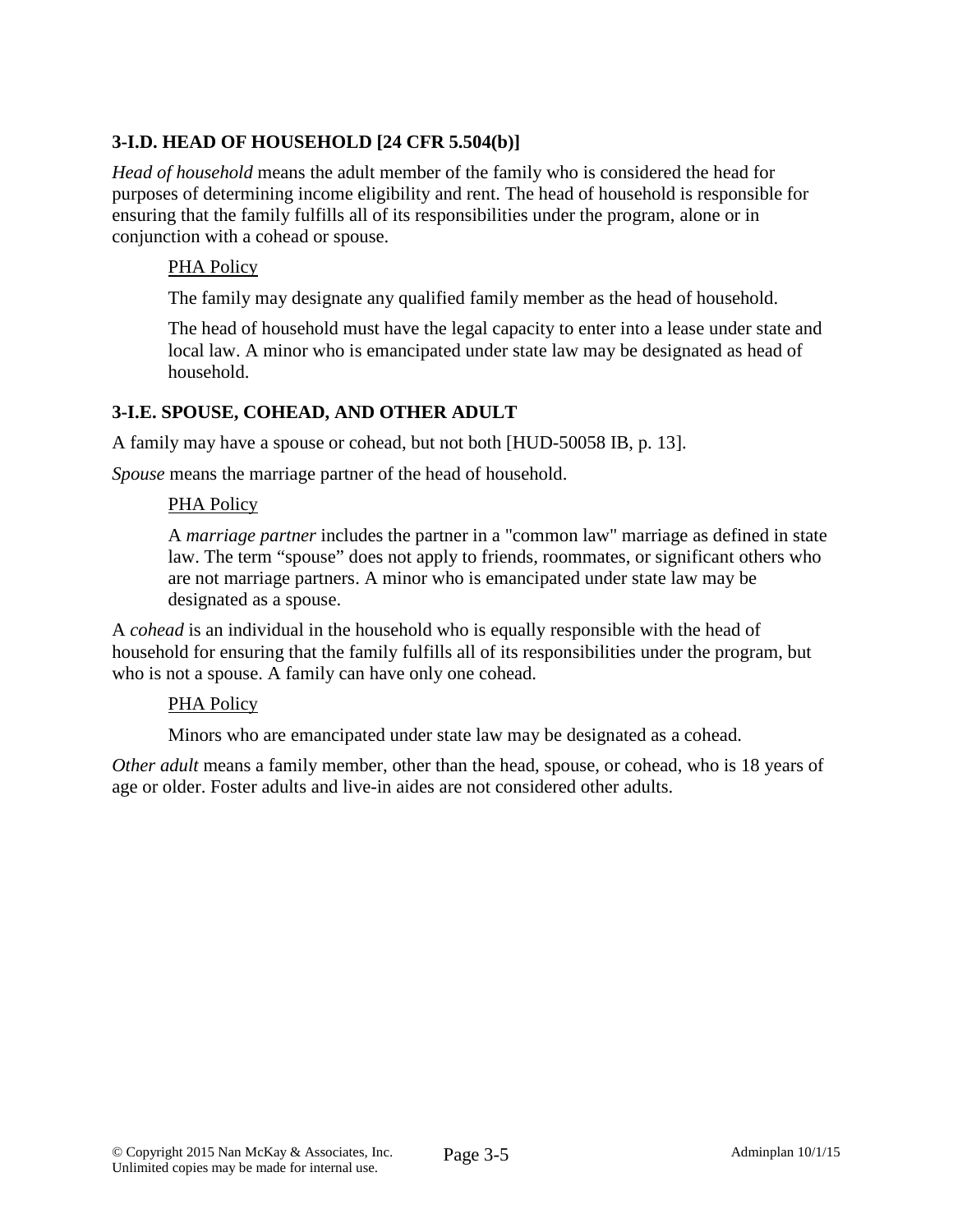# **3-I.D. HEAD OF HOUSEHOLD [24 CFR 5.504(b)]**

*Head of household* means the adult member of the family who is considered the head for purposes of determining income eligibility and rent. The head of household is responsible for ensuring that the family fulfills all of its responsibilities under the program, alone or in conjunction with a cohead or spouse.

### PHA Policy

The family may designate any qualified family member as the head of household.

The head of household must have the legal capacity to enter into a lease under state and local law. A minor who is emancipated under state law may be designated as head of household.

### **3-I.E. SPOUSE, COHEAD, AND OTHER ADULT**

A family may have a spouse or cohead, but not both [HUD-50058 IB, p. 13].

*Spouse* means the marriage partner of the head of household.

#### PHA Policy

A *marriage partner* includes the partner in a "common law" marriage as defined in state law. The term "spouse" does not apply to friends, roommates, or significant others who are not marriage partners. A minor who is emancipated under state law may be designated as a spouse.

A *cohead* is an individual in the household who is equally responsible with the head of household for ensuring that the family fulfills all of its responsibilities under the program, but who is not a spouse. A family can have only one cohead.

#### PHA Policy

Minors who are emancipated under state law may be designated as a cohead.

*Other adult* means a family member, other than the head, spouse, or cohead, who is 18 years of age or older. Foster adults and live-in aides are not considered other adults.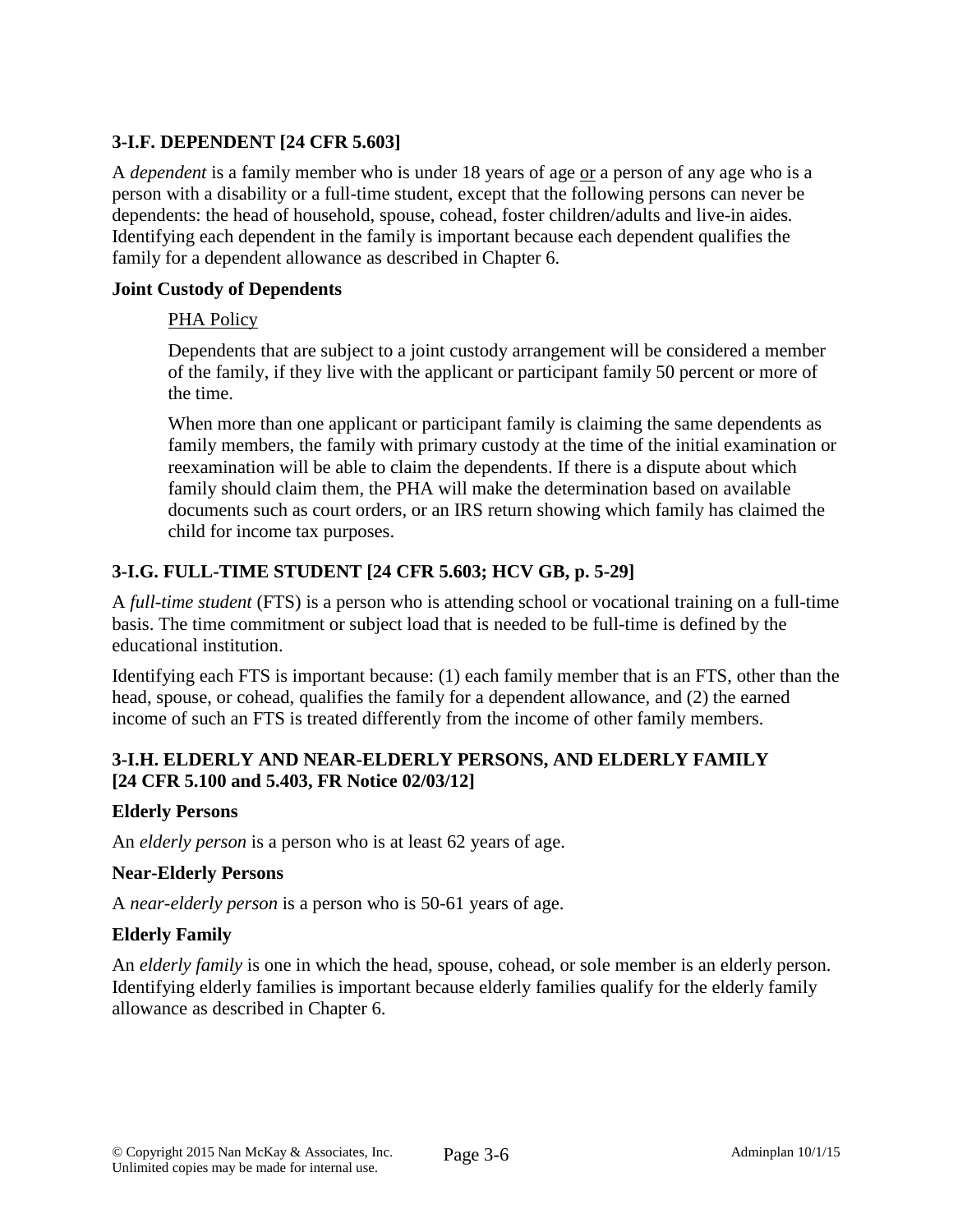# **3-I.F. DEPENDENT [24 CFR 5.603]**

A *dependent* is a family member who is under 18 years of age or a person of any age who is a person with a disability or a full-time student, except that the following persons can never be dependents: the head of household, spouse, cohead, foster children/adults and live-in aides*.* Identifying each dependent in the family is important because each dependent qualifies the family for a dependent allowance as described in Chapter 6.

### **Joint Custody of Dependents**

### PHA Policy

Dependents that are subject to a joint custody arrangement will be considered a member of the family, if they live with the applicant or participant family 50 percent or more of the time.

When more than one applicant or participant family is claiming the same dependents as family members, the family with primary custody at the time of the initial examination or reexamination will be able to claim the dependents. If there is a dispute about which family should claim them, the PHA will make the determination based on available documents such as court orders, or an IRS return showing which family has claimed the child for income tax purposes.

# **3-I.G. FULL-TIME STUDENT [24 CFR 5.603; HCV GB, p. 5-29]**

A *full-time student* (FTS) is a person who is attending school or vocational training on a full-time basis. The time commitment or subject load that is needed to be full-time is defined by the educational institution.

Identifying each FTS is important because: (1) each family member that is an FTS, other than the head, spouse, or cohead, qualifies the family for a dependent allowance, and (2) the earned income of such an FTS is treated differently from the income of other family members.

# **3-I.H. ELDERLY AND NEAR-ELDERLY PERSONS, AND ELDERLY FAMILY [24 CFR 5.100 and 5.403, FR Notice 02/03/12]**

### **Elderly Persons**

An *elderly person* is a person who is at least 62 years of age.

#### **Near-Elderly Persons**

A *near-elderly person* is a person who is 50-61 years of age.

### **Elderly Family**

An *elderly family* is one in which the head, spouse, cohead, or sole member is an elderly person. Identifying elderly families is important because elderly families qualify for the elderly family allowance as described in Chapter 6.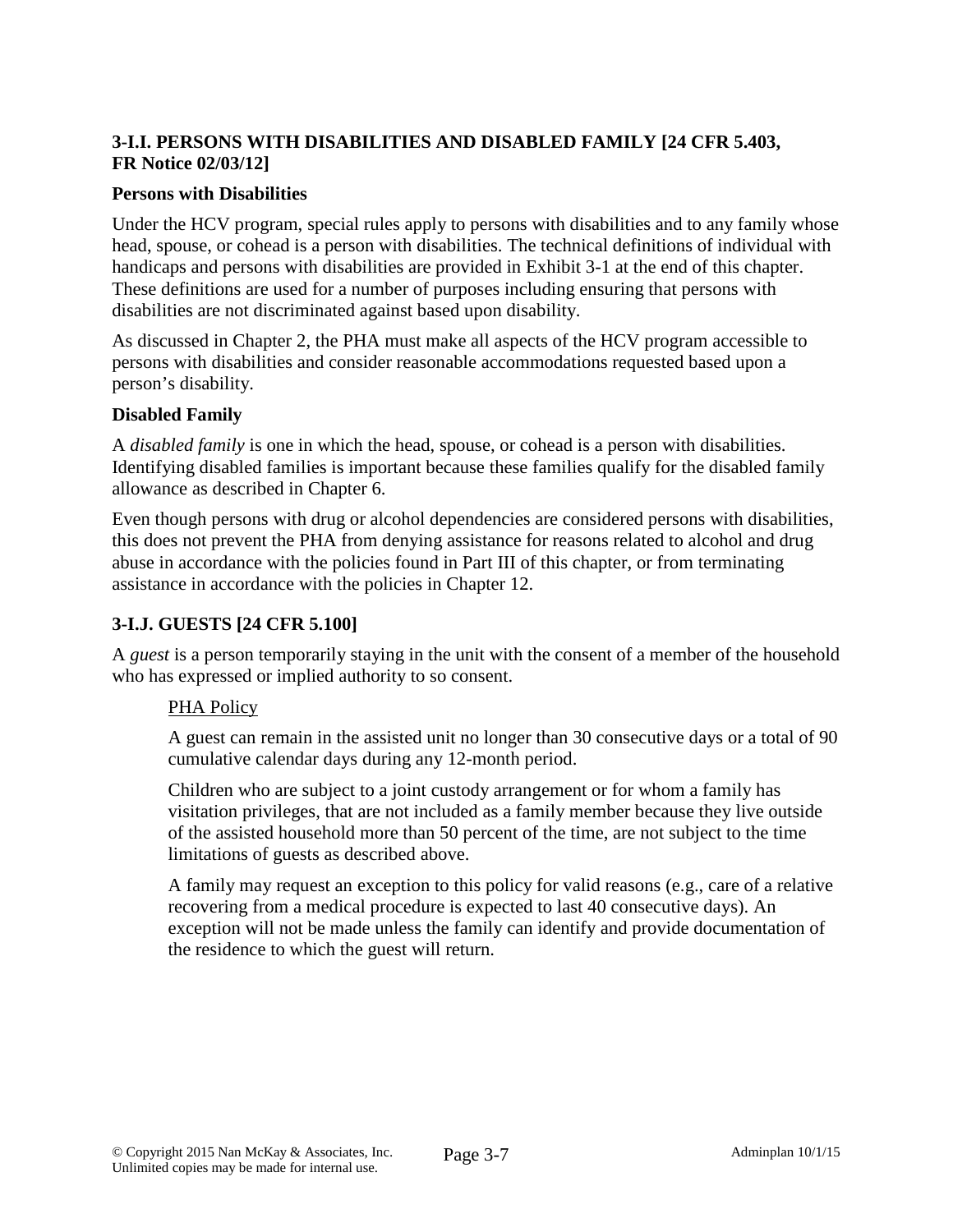# **3-I.I. PERSONS WITH DISABILITIES AND DISABLED FAMILY [24 CFR 5.403, FR Notice 02/03/12]**

### **Persons with Disabilities**

Under the HCV program, special rules apply to persons with disabilities and to any family whose head, spouse, or cohead is a person with disabilities. The technical definitions of individual with handicaps and persons with disabilities are provided in Exhibit 3-1 at the end of this chapter. These definitions are used for a number of purposes including ensuring that persons with disabilities are not discriminated against based upon disability.

As discussed in Chapter 2, the PHA must make all aspects of the HCV program accessible to persons with disabilities and consider reasonable accommodations requested based upon a person's disability.

### **Disabled Family**

A *disabled family* is one in which the head, spouse, or cohead is a person with disabilities. Identifying disabled families is important because these families qualify for the disabled family allowance as described in Chapter 6.

Even though persons with drug or alcohol dependencies are considered persons with disabilities, this does not prevent the PHA from denying assistance for reasons related to alcohol and drug abuse in accordance with the policies found in Part III of this chapter, or from terminating assistance in accordance with the policies in Chapter 12.

### **3-I.J. GUESTS [24 CFR 5.100]**

A *guest* is a person temporarily staying in the unit with the consent of a member of the household who has expressed or implied authority to so consent.

### PHA Policy

A guest can remain in the assisted unit no longer than 30 consecutive days or a total of 90 cumulative calendar days during any 12-month period.

Children who are subject to a joint custody arrangement or for whom a family has visitation privileges, that are not included as a family member because they live outside of the assisted household more than 50 percent of the time, are not subject to the time limitations of guests as described above.

A family may request an exception to this policy for valid reasons (e.g., care of a relative recovering from a medical procedure is expected to last 40 consecutive days). An exception will not be made unless the family can identify and provide documentation of the residence to which the guest will return.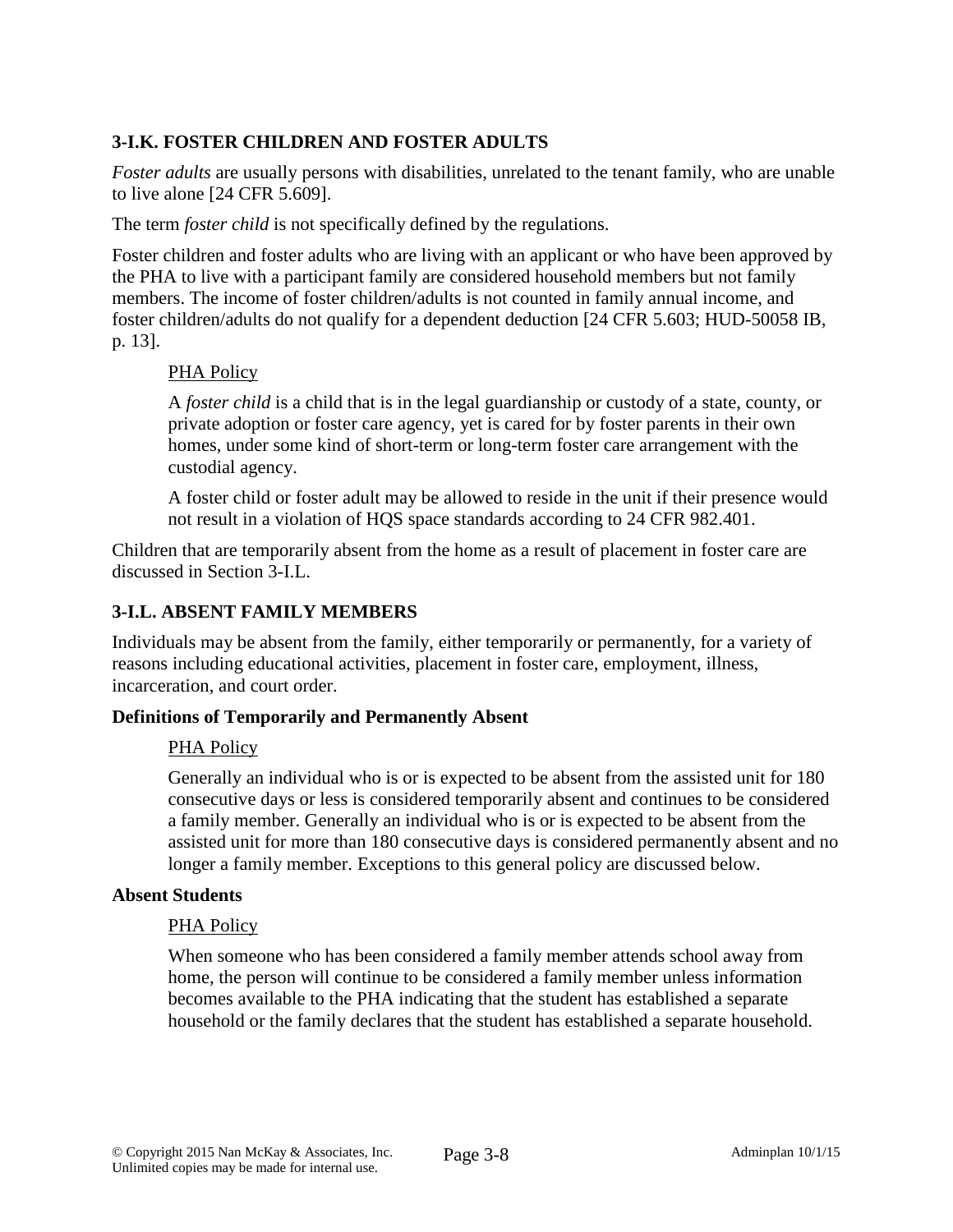# **3-I.K. FOSTER CHILDREN AND FOSTER ADULTS**

*Foster adults* are usually persons with disabilities, unrelated to the tenant family, who are unable to live alone [24 CFR 5.609].

The term *foster child* is not specifically defined by the regulations.

Foster children and foster adults who are living with an applicant or who have been approved by the PHA to live with a participant family are considered household members but not family members. The income of foster children/adults is not counted in family annual income, and foster children/adults do not qualify for a dependent deduction [24 CFR 5.603; HUD-50058 IB, p. 13].

### PHA Policy

A *foster child* is a child that is in the legal guardianship or custody of a state, county, or private adoption or foster care agency, yet is cared for by foster parents in their own homes, under some kind of short-term or long-term foster care arrangement with the custodial agency.

A foster child or foster adult may be allowed to reside in the unit if their presence would not result in a violation of HQS space standards according to 24 CFR 982.401.

Children that are temporarily absent from the home as a result of placement in foster care are discussed in Section 3-I.L.

### **3-I.L. ABSENT FAMILY MEMBERS**

Individuals may be absent from the family, either temporarily or permanently, for a variety of reasons including educational activities, placement in foster care, employment, illness, incarceration, and court order.

#### **Definitions of Temporarily and Permanently Absent**

#### PHA Policy

Generally an individual who is or is expected to be absent from the assisted unit for 180 consecutive days or less is considered temporarily absent and continues to be considered a family member. Generally an individual who is or is expected to be absent from the assisted unit for more than 180 consecutive days is considered permanently absent and no longer a family member. Exceptions to this general policy are discussed below.

#### **Absent Students**

#### PHA Policy

When someone who has been considered a family member attends school away from home, the person will continue to be considered a family member unless information becomes available to the PHA indicating that the student has established a separate household or the family declares that the student has established a separate household.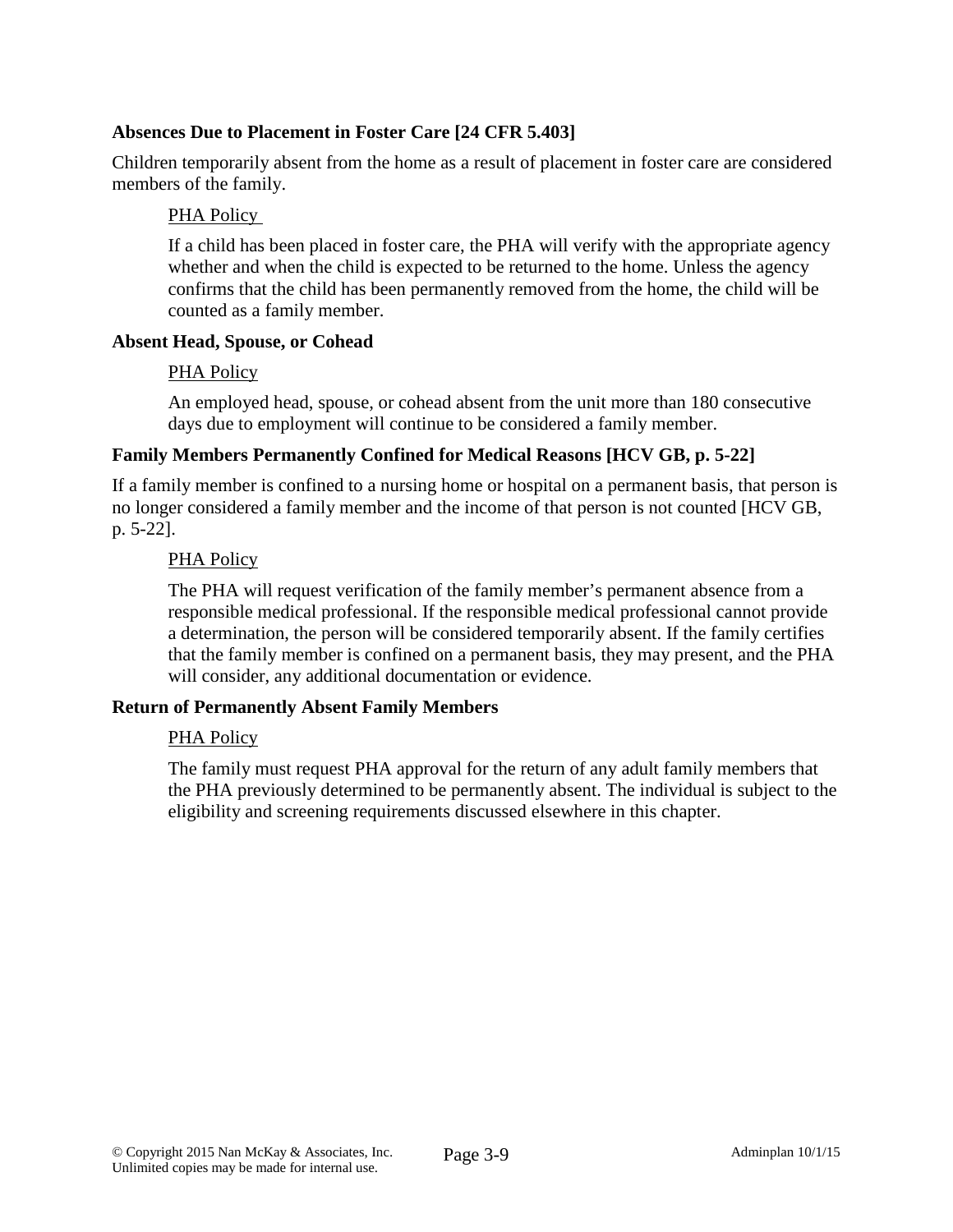## **Absences Due to Placement in Foster Care [24 CFR 5.403]**

Children temporarily absent from the home as a result of placement in foster care are considered members of the family.

## PHA Policy

If a child has been placed in foster care, the PHA will verify with the appropriate agency whether and when the child is expected to be returned to the home. Unless the agency confirms that the child has been permanently removed from the home, the child will be counted as a family member.

### **Absent Head, Spouse, or Cohead**

### PHA Policy

An employed head, spouse, or cohead absent from the unit more than 180 consecutive days due to employment will continue to be considered a family member.

### **Family Members Permanently Confined for Medical Reasons [HCV GB, p. 5-22]**

If a family member is confined to a nursing home or hospital on a permanent basis, that person is no longer considered a family member and the income of that person is not counted [HCV GB, p. 5-22].

### PHA Policy

The PHA will request verification of the family member's permanent absence from a responsible medical professional. If the responsible medical professional cannot provide a determination, the person will be considered temporarily absent. If the family certifies that the family member is confined on a permanent basis, they may present, and the PHA will consider, any additional documentation or evidence.

### **Return of Permanently Absent Family Members**

### PHA Policy

The family must request PHA approval for the return of any adult family members that the PHA previously determined to be permanently absent. The individual is subject to the eligibility and screening requirements discussed elsewhere in this chapter.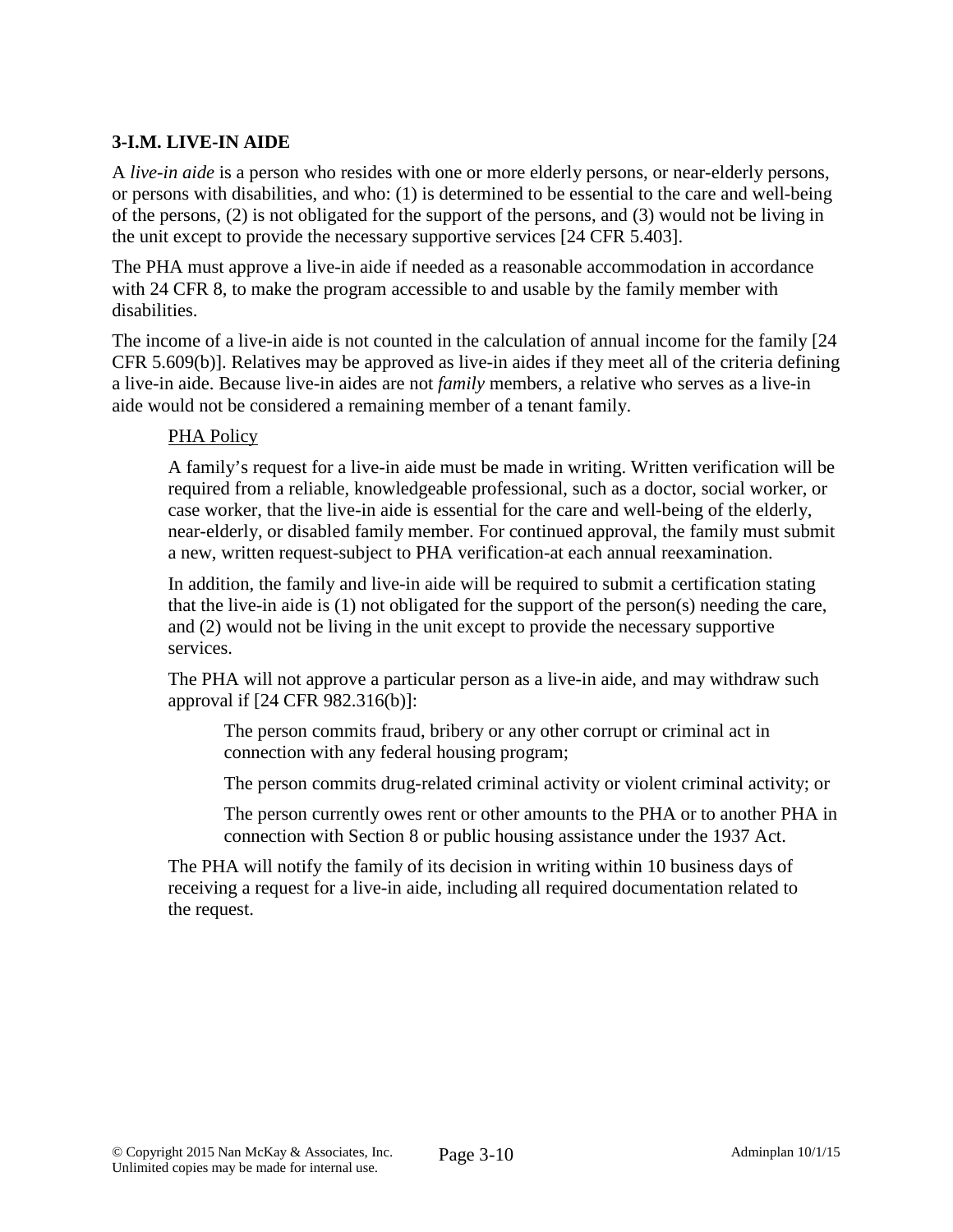# **3-I.M. LIVE-IN AIDE**

A *live-in aide* is a person who resides with one or more elderly persons, or near-elderly persons, or persons with disabilities, and who: (1) is determined to be essential to the care and well-being of the persons, (2) is not obligated for the support of the persons, and (3) would not be living in the unit except to provide the necessary supportive services [24 CFR 5.403].

The PHA must approve a live-in aide if needed as a reasonable accommodation in accordance with 24 CFR 8, to make the program accessible to and usable by the family member with disabilities.

The income of a live-in aide is not counted in the calculation of annual income for the family [24 CFR 5.609(b)]. Relatives may be approved as live-in aides if they meet all of the criteria defining a live-in aide. Because live-in aides are not *family* members, a relative who serves as a live-in aide would not be considered a remaining member of a tenant family.

### PHA Policy

A family's request for a live-in aide must be made in writing. Written verification will be required from a reliable, knowledgeable professional, such as a doctor, social worker, or case worker, that the live-in aide is essential for the care and well-being of the elderly, near-elderly, or disabled family member. For continued approval, the family must submit a new, written request-subject to PHA verification-at each annual reexamination.

In addition, the family and live-in aide will be required to submit a certification stating that the live-in aide is (1) not obligated for the support of the person(s) needing the care, and (2) would not be living in the unit except to provide the necessary supportive services.

The PHA will not approve a particular person as a live-in aide, and may withdraw such approval if [24 CFR 982.316(b)]:

The person commits fraud, bribery or any other corrupt or criminal act in connection with any federal housing program;

The person commits drug-related criminal activity or violent criminal activity; or

The person currently owes rent or other amounts to the PHA or to another PHA in connection with Section 8 or public housing assistance under the 1937 Act.

The PHA will notify the family of its decision in writing within 10 business days of receiving a request for a live-in aide, including all required documentation related to the request.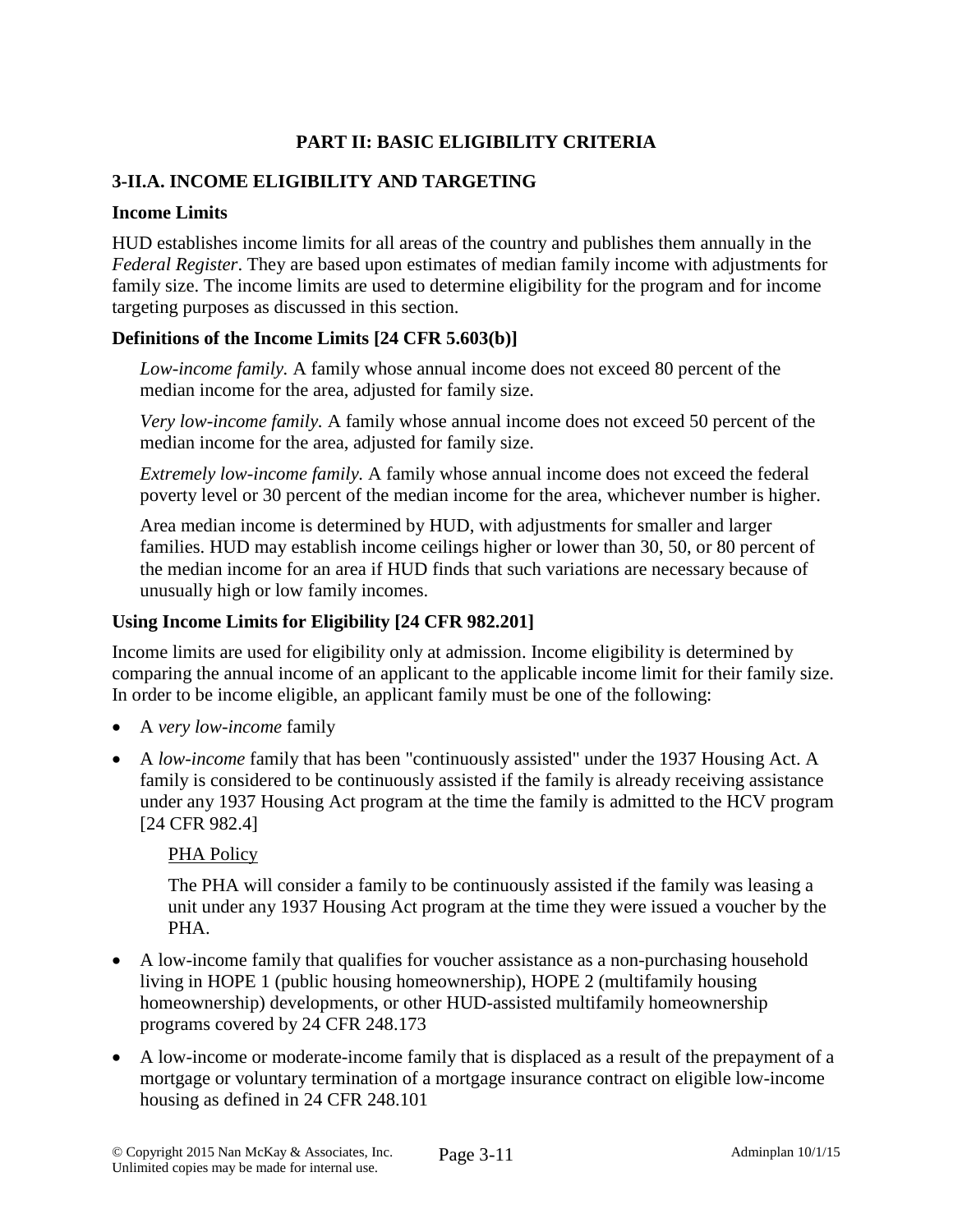# **PART II: BASIC ELIGIBILITY CRITERIA**

# **3-II.A. INCOME ELIGIBILITY AND TARGETING**

### **Income Limits**

HUD establishes income limits for all areas of the country and publishes them annually in the *Federal Register*. They are based upon estimates of median family income with adjustments for family size. The income limits are used to determine eligibility for the program and for income targeting purposes as discussed in this section.

### **Definitions of the Income Limits [24 CFR 5.603(b)]**

*Low-income family.* A family whose annual income does not exceed 80 percent of the median income for the area, adjusted for family size.

*Very low-income family.* A family whose annual income does not exceed 50 percent of the median income for the area, adjusted for family size.

*Extremely low-income family.* A family whose annual income does not exceed the federal poverty level or 30 percent of the median income for the area, whichever number is higher.

Area median income is determined by HUD, with adjustments for smaller and larger families. HUD may establish income ceilings higher or lower than 30, 50, or 80 percent of the median income for an area if HUD finds that such variations are necessary because of unusually high or low family incomes.

### **Using Income Limits for Eligibility [24 CFR 982.201]**

Income limits are used for eligibility only at admission. Income eligibility is determined by comparing the annual income of an applicant to the applicable income limit for their family size. In order to be income eligible, an applicant family must be one of the following:

- A *very low-income* family
- A *low-income* family that has been "continuously assisted" under the 1937 Housing Act. A family is considered to be continuously assisted if the family is already receiving assistance under any 1937 Housing Act program at the time the family is admitted to the HCV program [24 CFR 982.4]

### PHA Policy

The PHA will consider a family to be continuously assisted if the family was leasing a unit under any 1937 Housing Act program at the time they were issued a voucher by the PHA.

- A low-income family that qualifies for voucher assistance as a non-purchasing household living in HOPE 1 (public housing homeownership), HOPE 2 (multifamily housing homeownership) developments, or other HUD-assisted multifamily homeownership programs covered by 24 CFR 248.173
- A low-income or moderate-income family that is displaced as a result of the prepayment of a mortgage or voluntary termination of a mortgage insurance contract on eligible low-income housing as defined in 24 CFR 248.101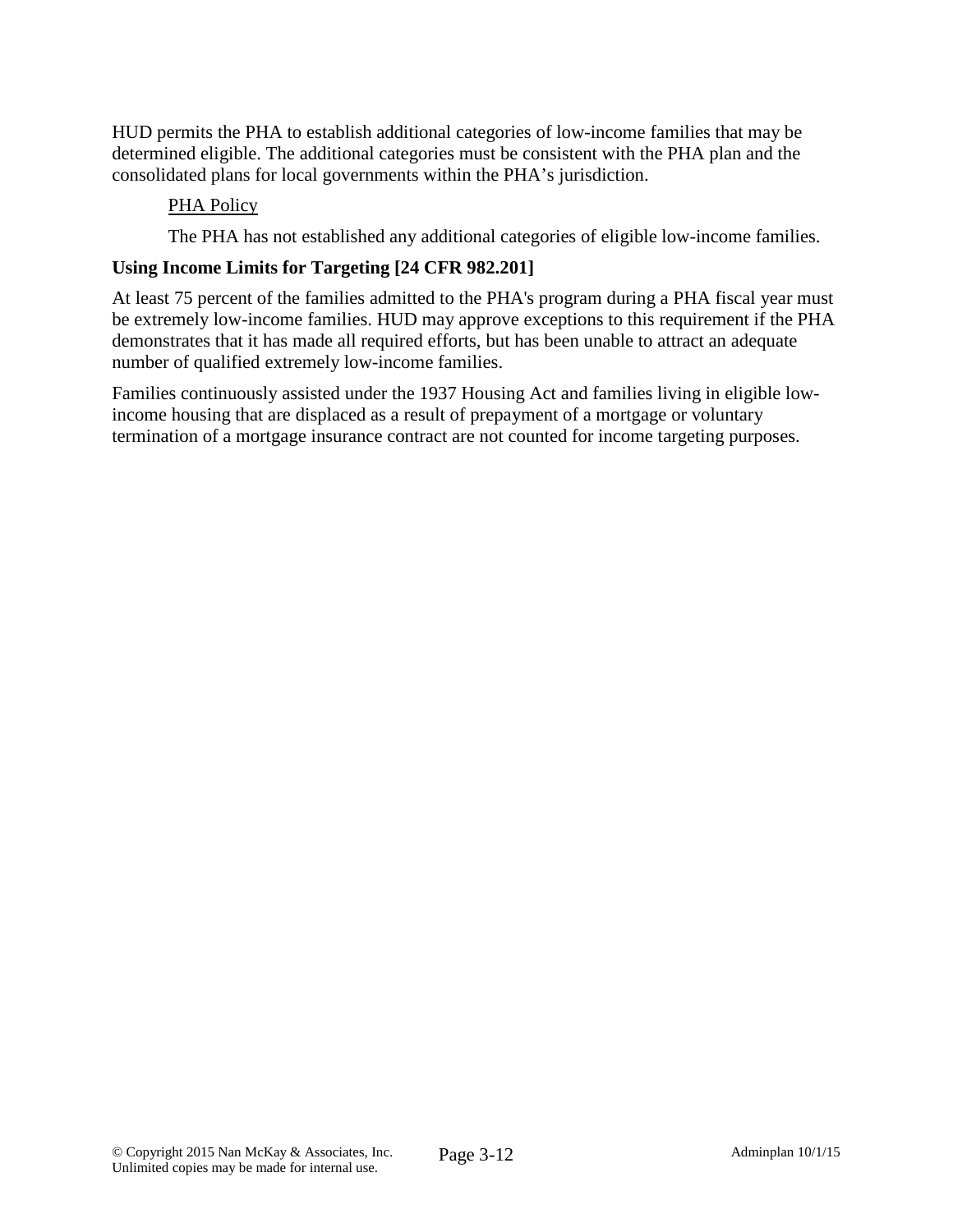HUD permits the PHA to establish additional categories of low-income families that may be determined eligible. The additional categories must be consistent with the PHA plan and the consolidated plans for local governments within the PHA's jurisdiction.

### PHA Policy

The PHA has not established any additional categories of eligible low-income families.

### **Using Income Limits for Targeting [24 CFR 982.201]**

At least 75 percent of the families admitted to the PHA's program during a PHA fiscal year must be extremely low-income families. HUD may approve exceptions to this requirement if the PHA demonstrates that it has made all required efforts, but has been unable to attract an adequate number of qualified extremely low-income families.

Families continuously assisted under the 1937 Housing Act and families living in eligible lowincome housing that are displaced as a result of prepayment of a mortgage or voluntary termination of a mortgage insurance contract are not counted for income targeting purposes.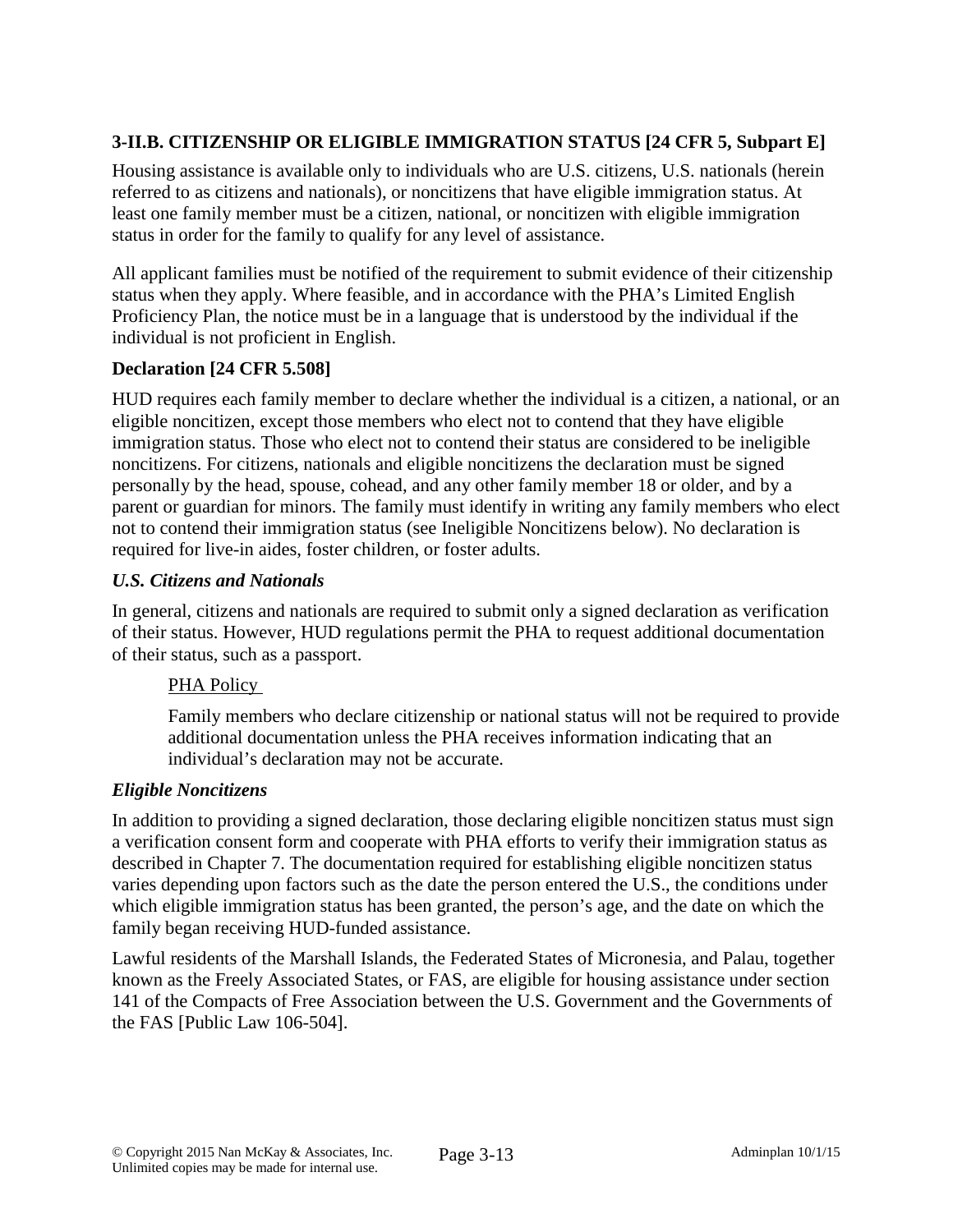# **3-II.B. CITIZENSHIP OR ELIGIBLE IMMIGRATION STATUS [24 CFR 5, Subpart E]**

Housing assistance is available only to individuals who are U.S. citizens, U.S. nationals (herein referred to as citizens and nationals), or noncitizens that have eligible immigration status. At least one family member must be a citizen, national, or noncitizen with eligible immigration status in order for the family to qualify for any level of assistance.

All applicant families must be notified of the requirement to submit evidence of their citizenship status when they apply. Where feasible, and in accordance with the PHA's Limited English Proficiency Plan, the notice must be in a language that is understood by the individual if the individual is not proficient in English.

# **Declaration [24 CFR 5.508]**

HUD requires each family member to declare whether the individual is a citizen, a national, or an eligible noncitizen, except those members who elect not to contend that they have eligible immigration status. Those who elect not to contend their status are considered to be ineligible noncitizens. For citizens, nationals and eligible noncitizens the declaration must be signed personally by the head, spouse, cohead, and any other family member 18 or older, and by a parent or guardian for minors. The family must identify in writing any family members who elect not to contend their immigration status (see Ineligible Noncitizens below). No declaration is required for live-in aides, foster children, or foster adults.

### *U.S. Citizens and Nationals*

In general, citizens and nationals are required to submit only a signed declaration as verification of their status. However, HUD regulations permit the PHA to request additional documentation of their status, such as a passport.

### PHA Policy

Family members who declare citizenship or national status will not be required to provide additional documentation unless the PHA receives information indicating that an individual's declaration may not be accurate.

### *Eligible Noncitizens*

In addition to providing a signed declaration, those declaring eligible noncitizen status must sign a verification consent form and cooperate with PHA efforts to verify their immigration status as described in Chapter 7. The documentation required for establishing eligible noncitizen status varies depending upon factors such as the date the person entered the U.S., the conditions under which eligible immigration status has been granted, the person's age, and the date on which the family began receiving HUD-funded assistance.

Lawful residents of the Marshall Islands, the Federated States of Micronesia, and Palau, together known as the Freely Associated States, or FAS, are eligible for housing assistance under section 141 of the Compacts of Free Association between the U.S. Government and the Governments of the FAS [Public Law 106-504].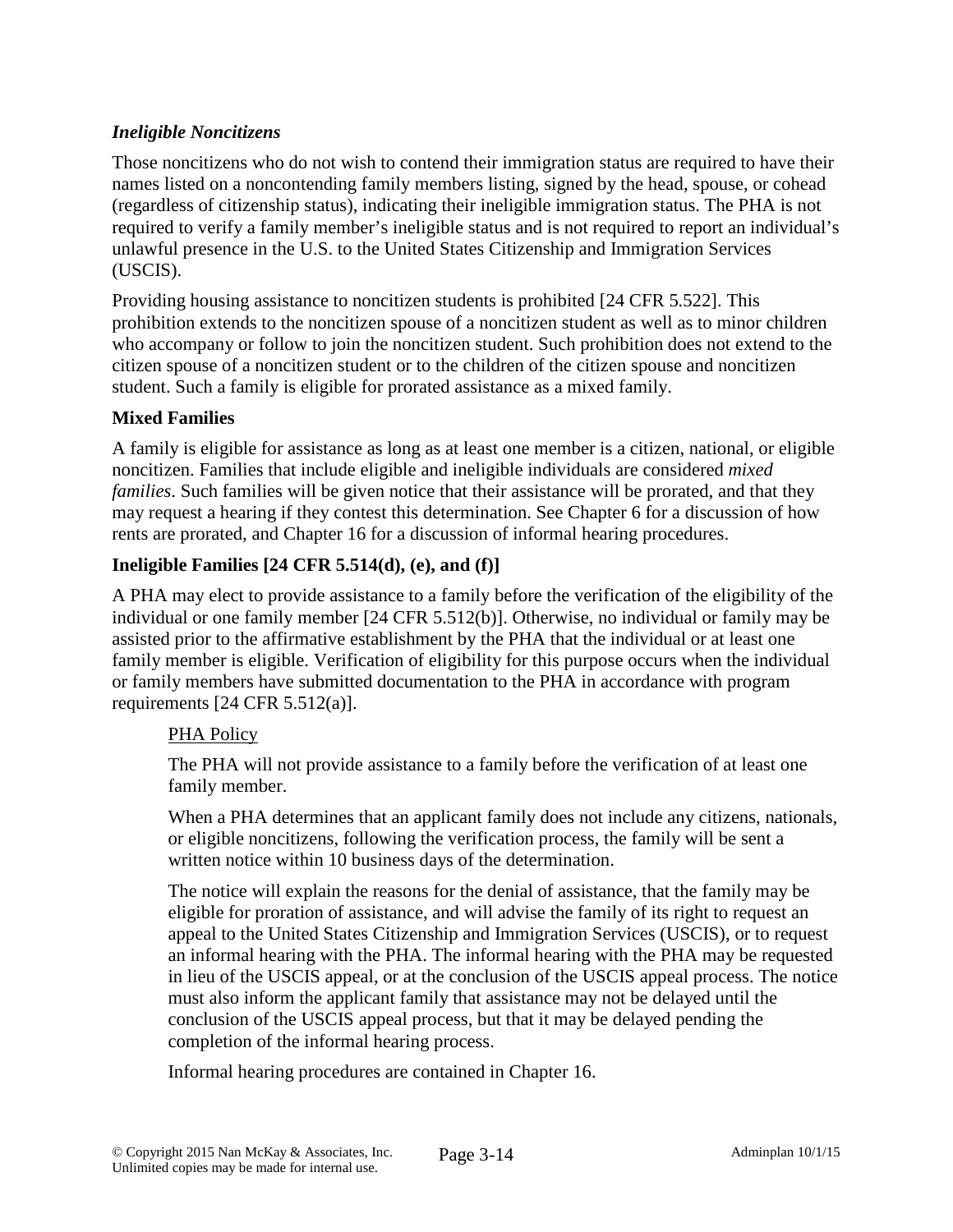## *Ineligible Noncitizens*

Those noncitizens who do not wish to contend their immigration status are required to have their names listed on a noncontending family members listing, signed by the head, spouse, or cohead (regardless of citizenship status), indicating their ineligible immigration status. The PHA is not required to verify a family member's ineligible status and is not required to report an individual's unlawful presence in the U.S. to the United States Citizenship and Immigration Services (USCIS).

Providing housing assistance to noncitizen students is prohibited [24 CFR 5.522]. This prohibition extends to the noncitizen spouse of a noncitizen student as well as to minor children who accompany or follow to join the noncitizen student. Such prohibition does not extend to the citizen spouse of a noncitizen student or to the children of the citizen spouse and noncitizen student. Such a family is eligible for prorated assistance as a mixed family.

# **Mixed Families**

A family is eligible for assistance as long as at least one member is a citizen, national, or eligible noncitizen. Families that include eligible and ineligible individuals are considered *mixed families*. Such families will be given notice that their assistance will be prorated, and that they may request a hearing if they contest this determination. See Chapter 6 for a discussion of how rents are prorated, and Chapter 16 for a discussion of informal hearing procedures.

# **Ineligible Families [24 CFR 5.514(d), (e), and (f)]**

A PHA may elect to provide assistance to a family before the verification of the eligibility of the individual or one family member [24 CFR 5.512(b)]. Otherwise, no individual or family may be assisted prior to the affirmative establishment by the PHA that the individual or at least one family member is eligible. Verification of eligibility for this purpose occurs when the individual or family members have submitted documentation to the PHA in accordance with program requirements [24 CFR 5.512(a)].

### PHA Policy

The PHA will not provide assistance to a family before the verification of at least one family member.

When a PHA determines that an applicant family does not include any citizens, nationals, or eligible noncitizens, following the verification process, the family will be sent a written notice within 10 business days of the determination.

The notice will explain the reasons for the denial of assistance, that the family may be eligible for proration of assistance, and will advise the family of its right to request an appeal to the United States Citizenship and Immigration Services (USCIS), or to request an informal hearing with the PHA. The informal hearing with the PHA may be requested in lieu of the USCIS appeal, or at the conclusion of the USCIS appeal process. The notice must also inform the applicant family that assistance may not be delayed until the conclusion of the USCIS appeal process, but that it may be delayed pending the completion of the informal hearing process.

Informal hearing procedures are contained in Chapter 16.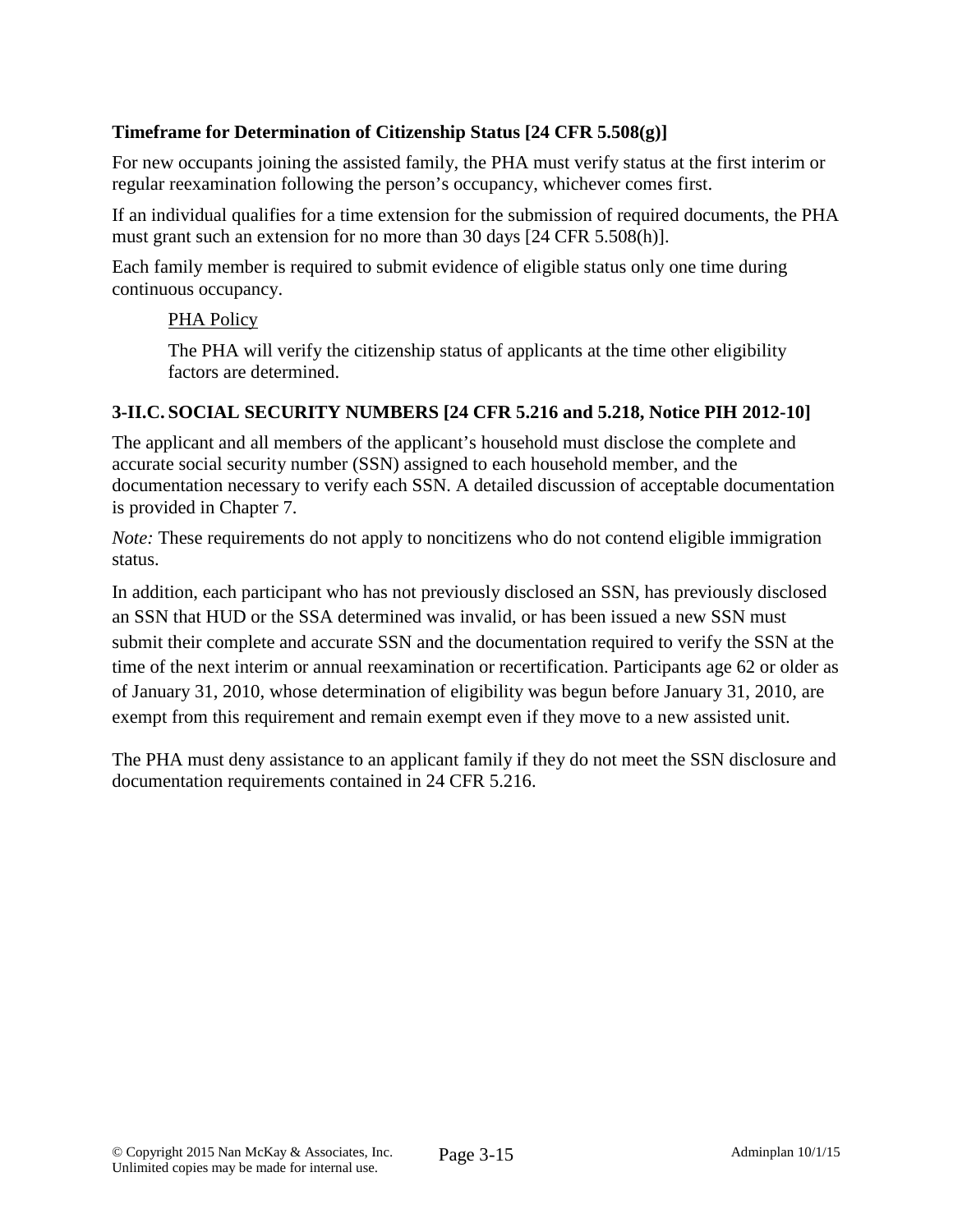# **Timeframe for Determination of Citizenship Status [24 CFR 5.508(g)]**

For new occupants joining the assisted family, the PHA must verify status at the first interim or regular reexamination following the person's occupancy, whichever comes first.

If an individual qualifies for a time extension for the submission of required documents, the PHA must grant such an extension for no more than 30 days [24 CFR 5.508(h)].

Each family member is required to submit evidence of eligible status only one time during continuous occupancy.

# PHA Policy

The PHA will verify the citizenship status of applicants at the time other eligibility factors are determined.

# **3-II.C. SOCIAL SECURITY NUMBERS [24 CFR 5.216 and 5.218, Notice PIH 2012-10]**

The applicant and all members of the applicant's household must disclose the complete and accurate social security number (SSN) assigned to each household member, and the documentation necessary to verify each SSN. A detailed discussion of acceptable documentation is provided in Chapter 7.

*Note:* These requirements do not apply to noncitizens who do not contend eligible immigration status.

In addition, each participant who has not previously disclosed an SSN, has previously disclosed an SSN that HUD or the SSA determined was invalid, or has been issued a new SSN must submit their complete and accurate SSN and the documentation required to verify the SSN at the time of the next interim or annual reexamination or recertification. Participants age 62 or older as of January 31, 2010, whose determination of eligibility was begun before January 31, 2010, are exempt from this requirement and remain exempt even if they move to a new assisted unit.

The PHA must deny assistance to an applicant family if they do not meet the SSN disclosure and documentation requirements contained in 24 CFR 5.216.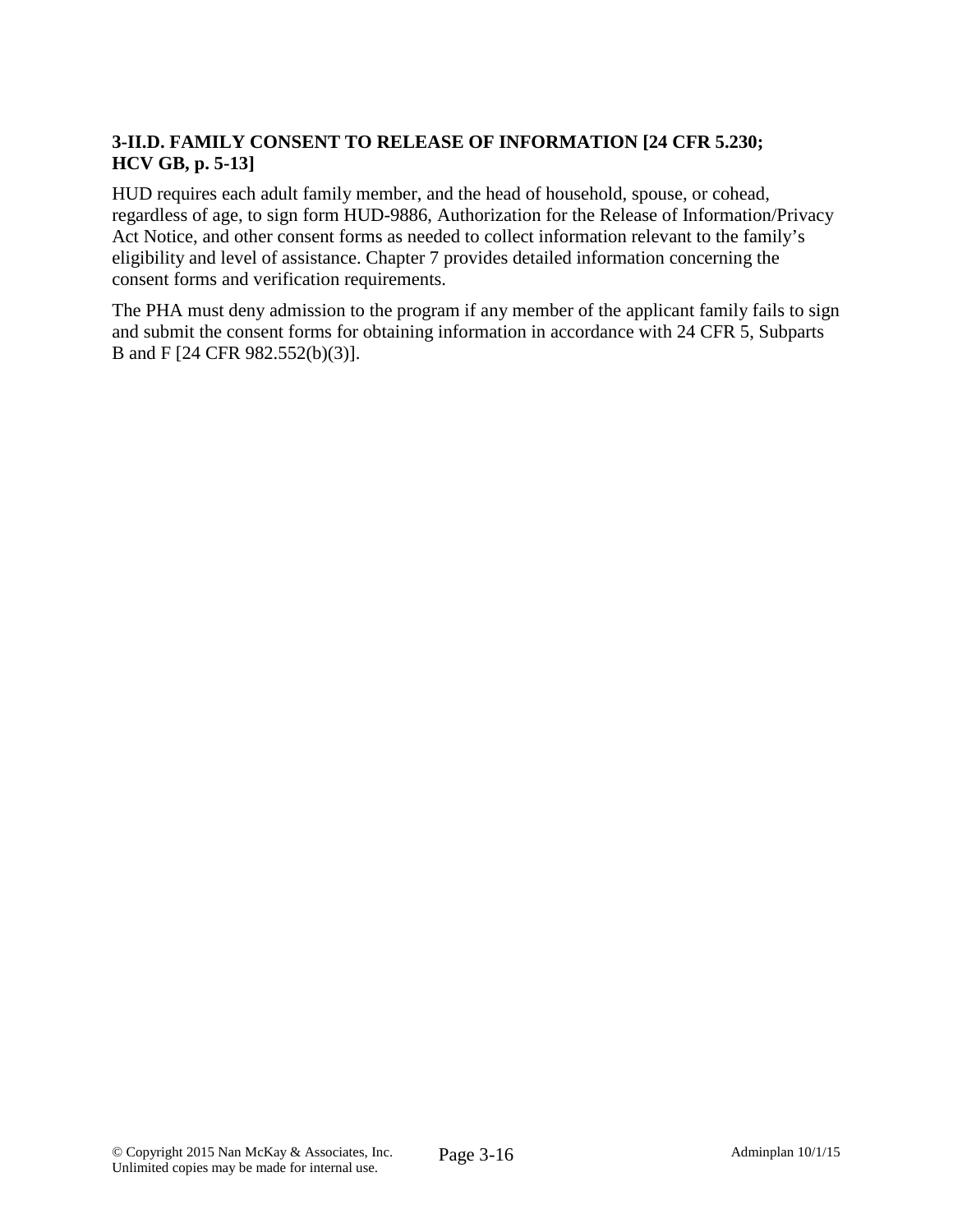# **3-II.D. FAMILY CONSENT TO RELEASE OF INFORMATION [24 CFR 5.230; HCV GB, p. 5-13]**

HUD requires each adult family member, and the head of household, spouse, or cohead, regardless of age, to sign form HUD-9886, Authorization for the Release of Information/Privacy Act Notice, and other consent forms as needed to collect information relevant to the family's eligibility and level of assistance. Chapter 7 provides detailed information concerning the consent forms and verification requirements.

The PHA must deny admission to the program if any member of the applicant family fails to sign and submit the consent forms for obtaining information in accordance with 24 CFR 5, Subparts B and F [24 CFR 982.552(b)(3)].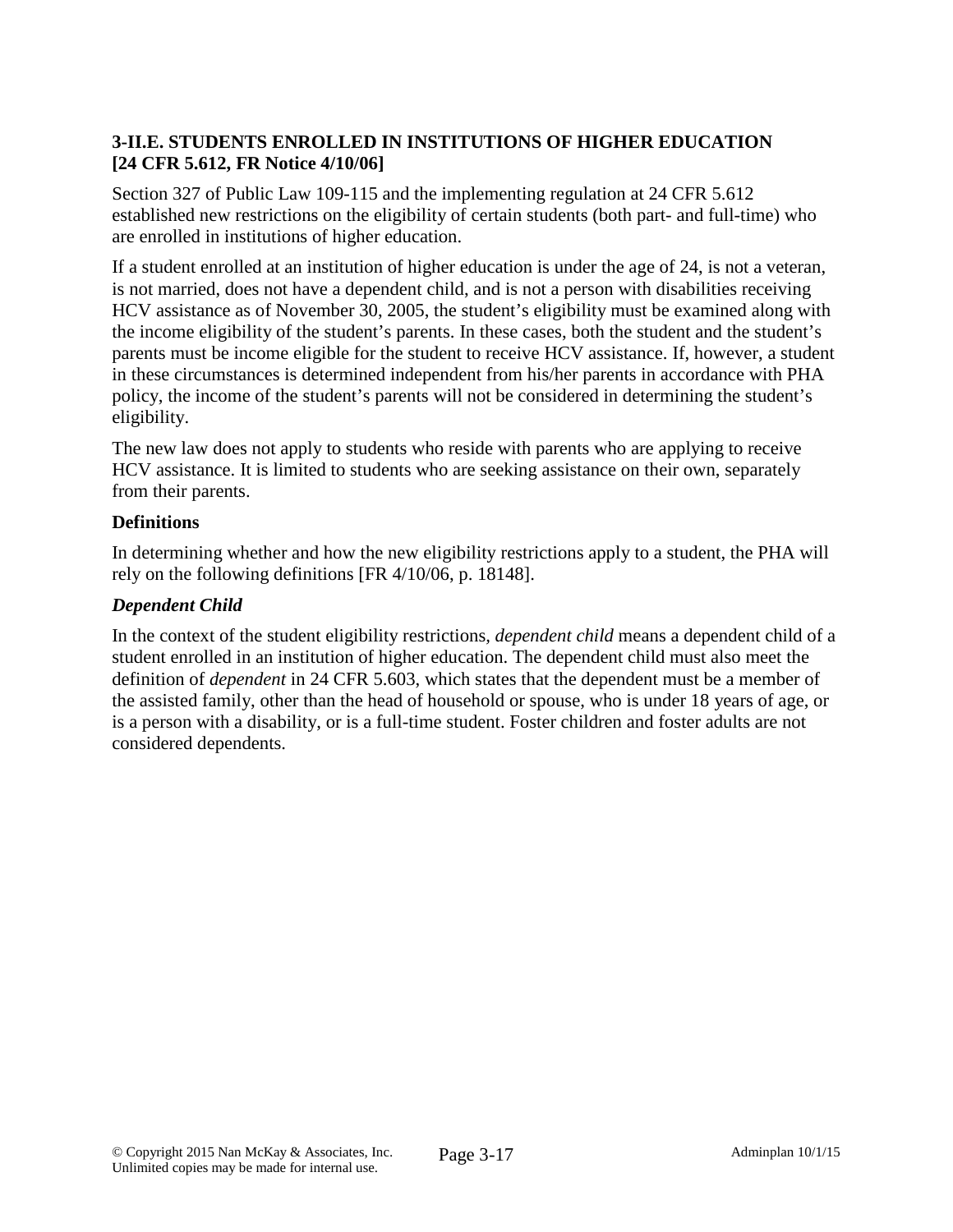## **3-II.E. STUDENTS ENROLLED IN INSTITUTIONS OF HIGHER EDUCATION [24 CFR 5.612, FR Notice 4/10/06]**

Section 327 of Public Law 109-115 and the implementing regulation at 24 CFR 5.612 established new restrictions on the eligibility of certain students (both part- and full-time) who are enrolled in institutions of higher education.

If a student enrolled at an institution of higher education is under the age of 24, is not a veteran, is not married, does not have a dependent child, and is not a person with disabilities receiving HCV assistance as of November 30, 2005, the student's eligibility must be examined along with the income eligibility of the student's parents. In these cases, both the student and the student's parents must be income eligible for the student to receive HCV assistance. If, however, a student in these circumstances is determined independent from his/her parents in accordance with PHA policy, the income of the student's parents will not be considered in determining the student's eligibility.

The new law does not apply to students who reside with parents who are applying to receive HCV assistance. It is limited to students who are seeking assistance on their own, separately from their parents.

### **Definitions**

In determining whether and how the new eligibility restrictions apply to a student, the PHA will rely on the following definitions [FR 4/10/06, p. 18148].

# *Dependent Child*

In the context of the student eligibility restrictions*, dependent child* means a dependent child of a student enrolled in an institution of higher education. The dependent child must also meet the definition of *dependent* in 24 CFR 5.603, which states that the dependent must be a member of the assisted family, other than the head of household or spouse, who is under 18 years of age, or is a person with a disability, or is a full-time student. Foster children and foster adults are not considered dependents.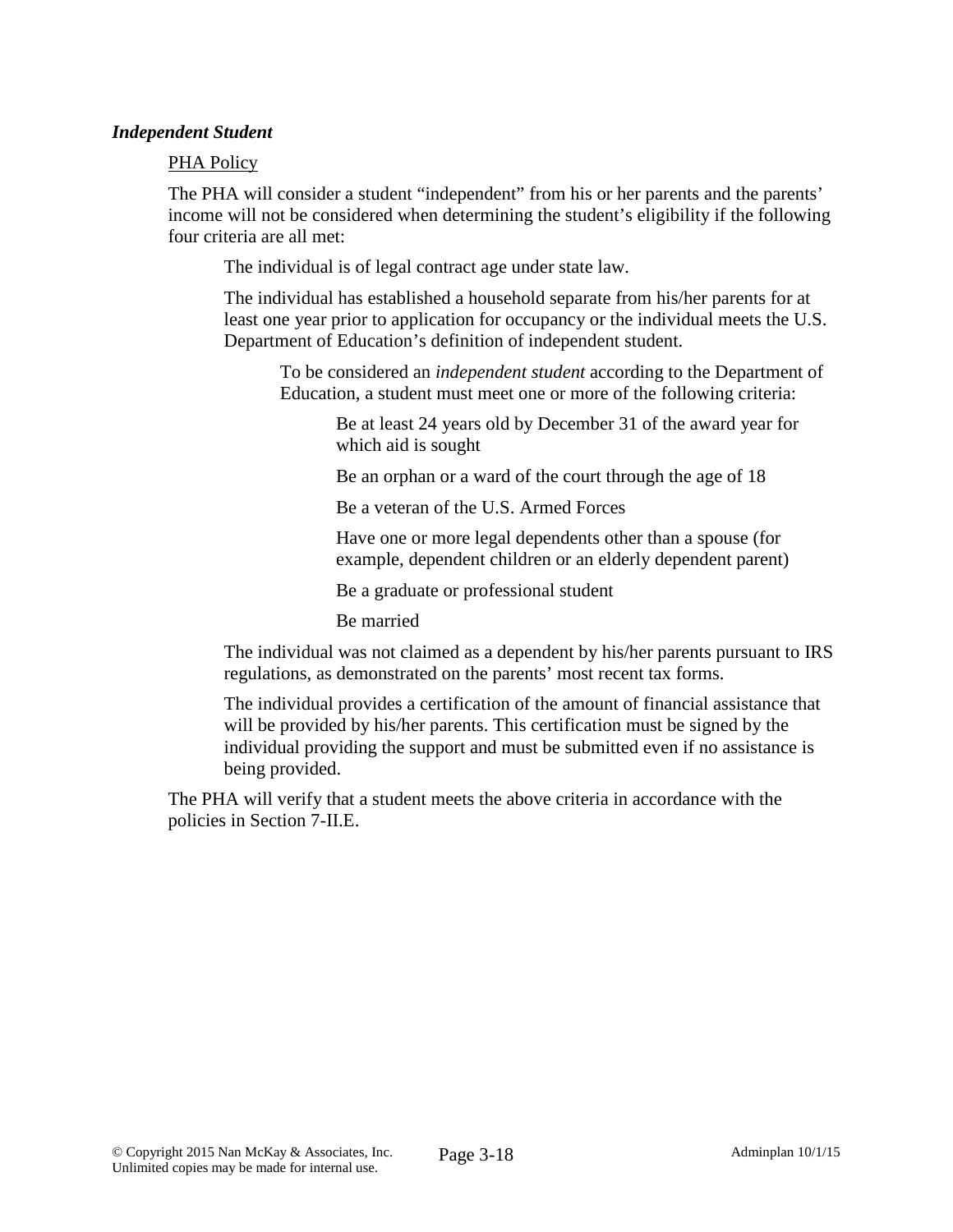### *Independent Student*

#### PHA Policy

The PHA will consider a student "independent" from his or her parents and the parents' income will not be considered when determining the student's eligibility if the following four criteria are all met:

The individual is of legal contract age under state law.

The individual has established a household separate from his/her parents for at least one year prior to application for occupancy or the individual meets the U.S. Department of Education's definition of independent student.

To be considered an *independent student* according to the Department of Education, a student must meet one or more of the following criteria:

> Be at least 24 years old by December 31 of the award year for which aid is sought

Be an orphan or a ward of the court through the age of 18

Be a veteran of the U.S. Armed Forces

Have one or more legal dependents other than a spouse (for example, dependent children or an elderly dependent parent)

Be a graduate or professional student

Be married

The individual was not claimed as a dependent by his/her parents pursuant to IRS regulations, as demonstrated on the parents' most recent tax forms.

The individual provides a certification of the amount of financial assistance that will be provided by his/her parents. This certification must be signed by the individual providing the support and must be submitted even if no assistance is being provided.

The PHA will verify that a student meets the above criteria in accordance with the policies in Section 7-II.E.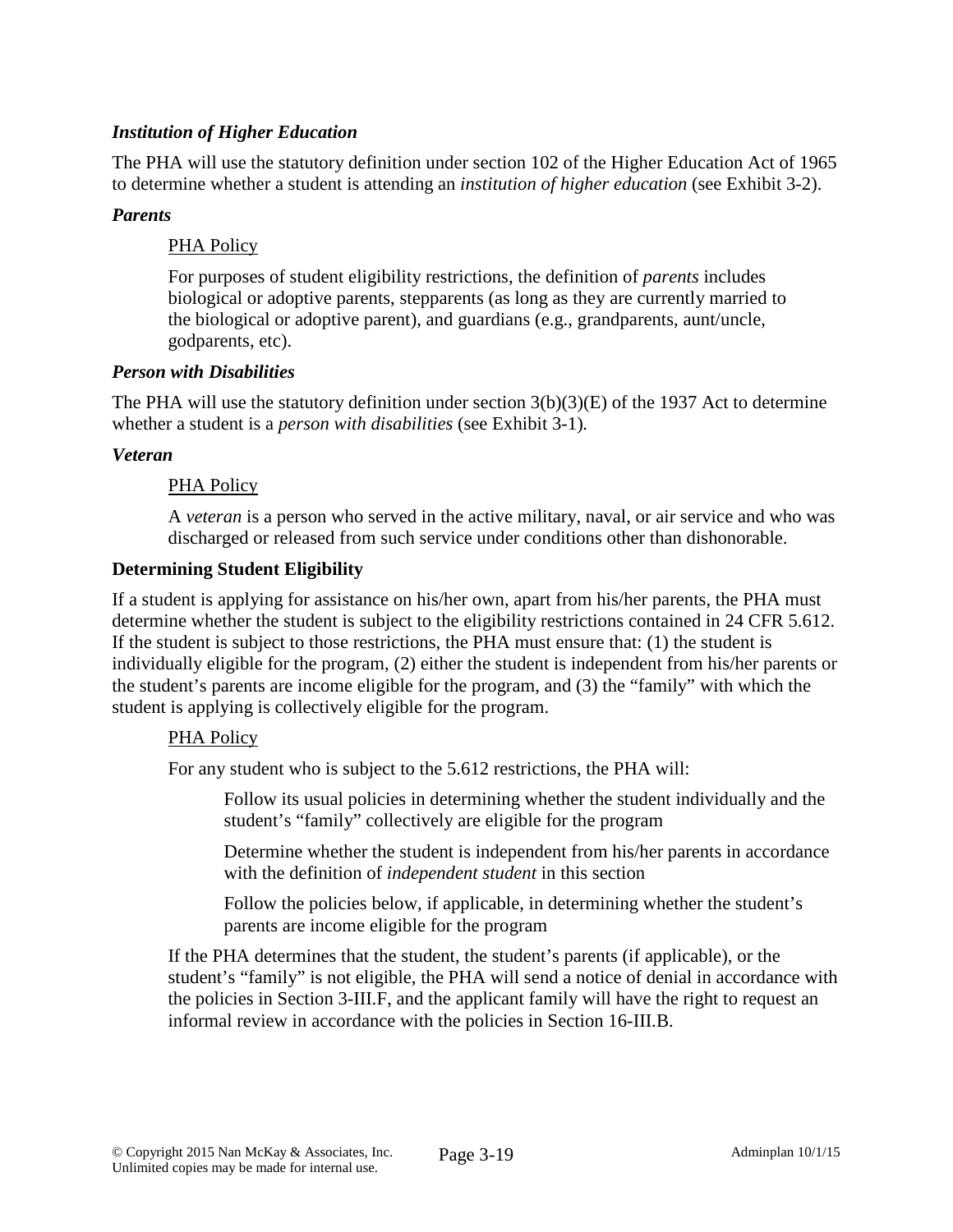### *Institution of Higher Education*

The PHA will use the statutory definition under section 102 of the Higher Education Act of 1965 to determine whether a student is attending an *institution of higher education* (see Exhibit 3-2).

### *Parents*

### PHA Policy

For purposes of student eligibility restrictions, the definition of *parents* includes biological or adoptive parents, stepparents (as long as they are currently married to the biological or adoptive parent), and guardians (e.g., grandparents, aunt/uncle, godparents, etc).

### *Person with Disabilities*

The PHA will use the statutory definition under section 3(b)(3)(E) of the 1937 Act to determine whether a student is a *person with disabilities* (see Exhibit 3-1)*.*

### *Veteran*

### PHA Policy

A *veteran* is a person who served in the active military, naval, or air service and who was discharged or released from such service under conditions other than dishonorable.

### **Determining Student Eligibility**

If a student is applying for assistance on his/her own, apart from his/her parents, the PHA must determine whether the student is subject to the eligibility restrictions contained in 24 CFR 5.612. If the student is subject to those restrictions, the PHA must ensure that: (1) the student is individually eligible for the program, (2) either the student is independent from his/her parents or the student's parents are income eligible for the program, and (3) the "family" with which the student is applying is collectively eligible for the program.

### PHA Policy

For any student who is subject to the 5.612 restrictions, the PHA will:

Follow its usual policies in determining whether the student individually and the student's "family" collectively are eligible for the program

Determine whether the student is independent from his/her parents in accordance with the definition of *independent student* in this section

Follow the policies below, if applicable, in determining whether the student's parents are income eligible for the program

If the PHA determines that the student, the student's parents (if applicable), or the student's "family" is not eligible, the PHA will send a notice of denial in accordance with the policies in Section 3-III.F, and the applicant family will have the right to request an informal review in accordance with the policies in Section 16-III.B.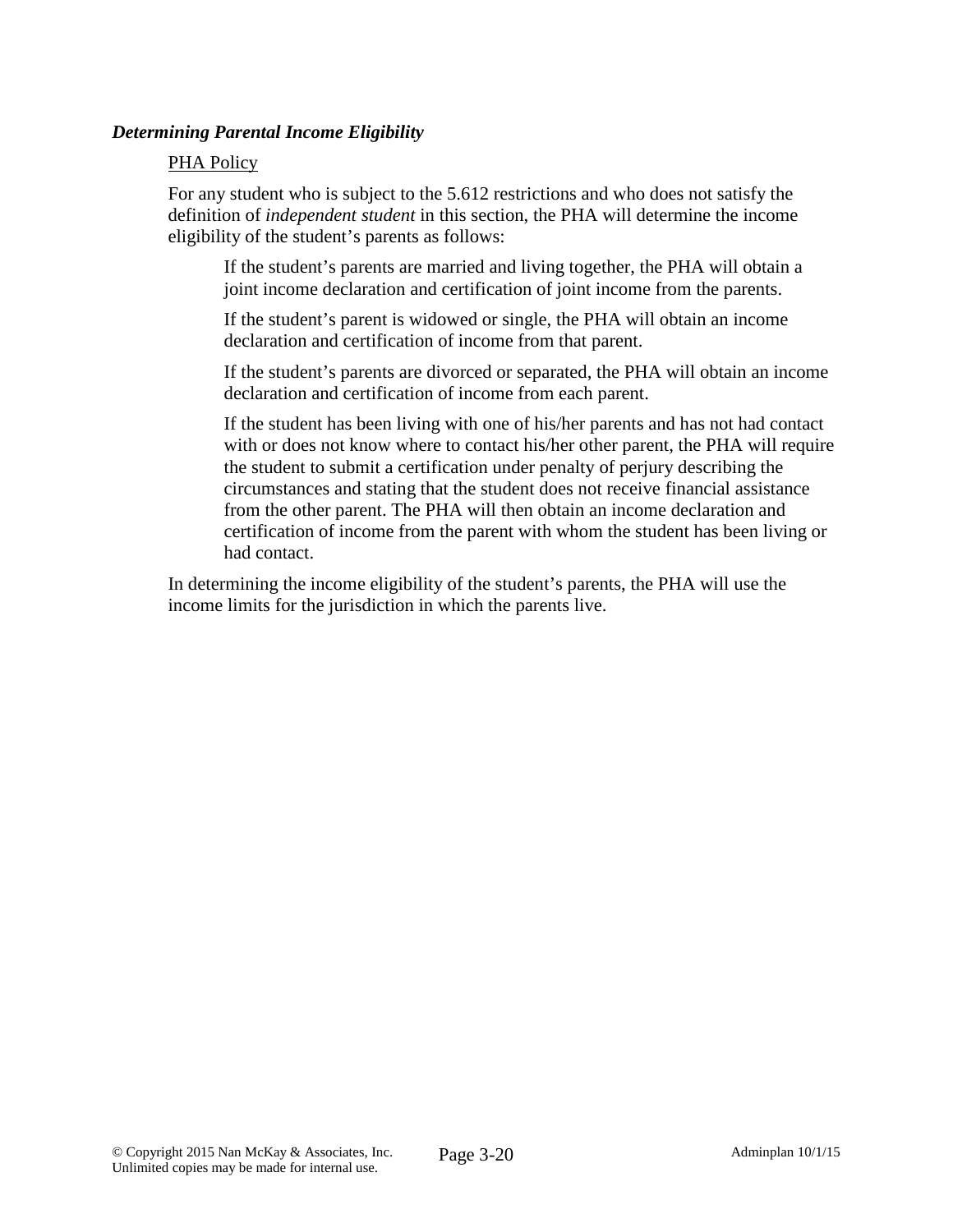### *Determining Parental Income Eligibility*

#### PHA Policy

For any student who is subject to the 5.612 restrictions and who does not satisfy the definition of *independent student* in this section, the PHA will determine the income eligibility of the student's parents as follows:

If the student's parents are married and living together, the PHA will obtain a joint income declaration and certification of joint income from the parents.

If the student's parent is widowed or single, the PHA will obtain an income declaration and certification of income from that parent.

If the student's parents are divorced or separated, the PHA will obtain an income declaration and certification of income from each parent.

If the student has been living with one of his/her parents and has not had contact with or does not know where to contact his/her other parent, the PHA will require the student to submit a certification under penalty of perjury describing the circumstances and stating that the student does not receive financial assistance from the other parent. The PHA will then obtain an income declaration and certification of income from the parent with whom the student has been living or had contact.

In determining the income eligibility of the student's parents, the PHA will use the income limits for the jurisdiction in which the parents live.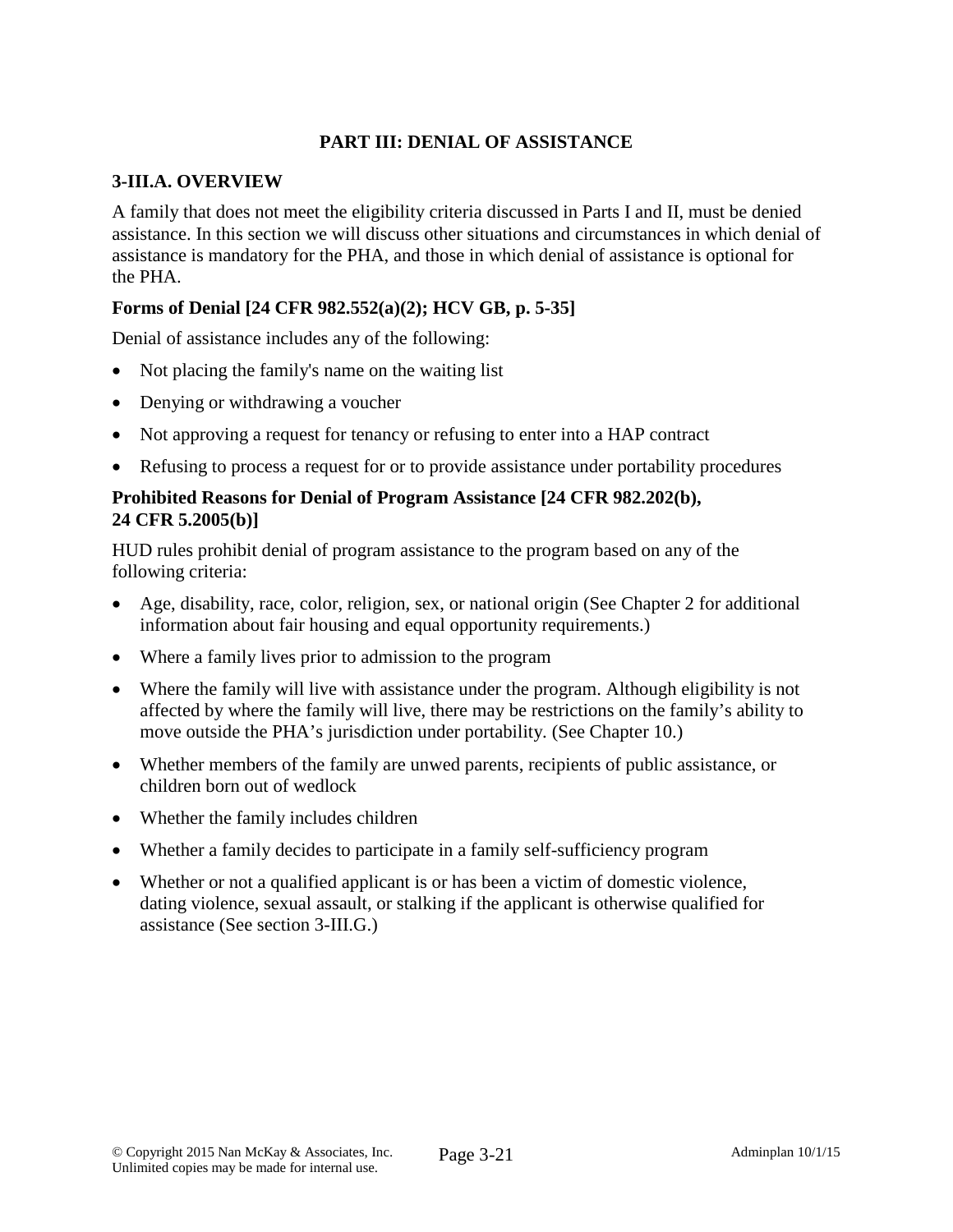## **PART III: DENIAL OF ASSISTANCE**

### **3-III.A. OVERVIEW**

A family that does not meet the eligibility criteria discussed in Parts I and II, must be denied assistance. In this section we will discuss other situations and circumstances in which denial of assistance is mandatory for the PHA, and those in which denial of assistance is optional for the PHA.

# **Forms of Denial [24 CFR 982.552(a)(2); HCV GB, p. 5-35]**

Denial of assistance includes any of the following:

- Not placing the family's name on the waiting list
- Denying or withdrawing a voucher
- Not approving a request for tenancy or refusing to enter into a HAP contract
- Refusing to process a request for or to provide assistance under portability procedures

### **Prohibited Reasons for Denial of Program Assistance [24 CFR 982.202(b), 24 CFR 5.2005(b)]**

HUD rules prohibit denial of program assistance to the program based on any of the following criteria:

- Age, disability, race, color, religion, sex, or national origin (See Chapter 2 for additional information about fair housing and equal opportunity requirements.)
- Where a family lives prior to admission to the program
- Where the family will live with assistance under the program. Although eligibility is not affected by where the family will live, there may be restrictions on the family's ability to move outside the PHA's jurisdiction under portability. (See Chapter 10.)
- Whether members of the family are unwed parents, recipients of public assistance, or children born out of wedlock
- Whether the family includes children
- Whether a family decides to participate in a family self-sufficiency program
- Whether or not a qualified applicant is or has been a victim of domestic violence, dating violence, sexual assault, or stalking if the applicant is otherwise qualified for assistance (See section 3-III.G.)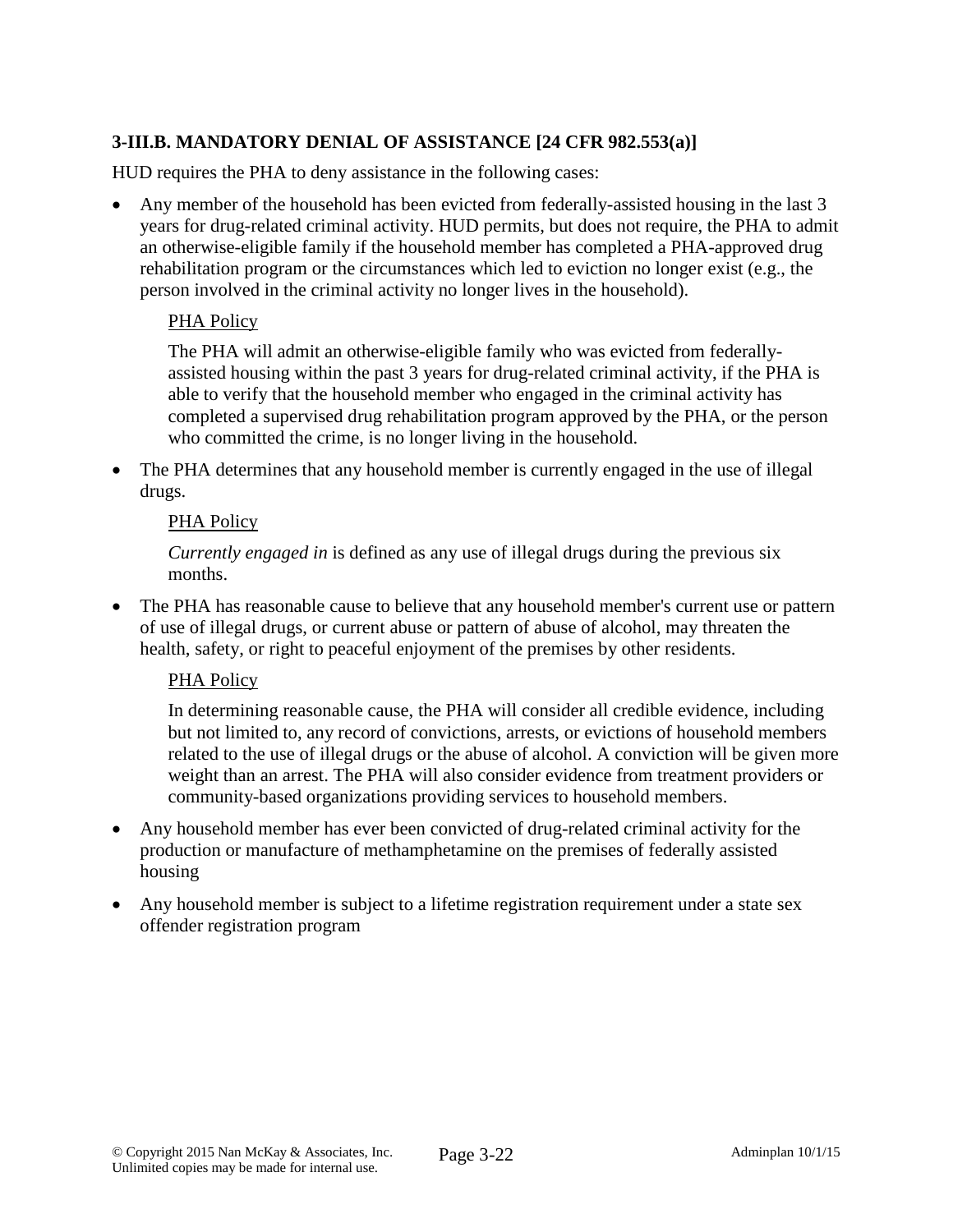# **3-III.B. MANDATORY DENIAL OF ASSISTANCE [24 CFR 982.553(a)]**

HUD requires the PHA to deny assistance in the following cases:

• Any member of the household has been evicted from federally-assisted housing in the last 3 years for drug-related criminal activity. HUD permits, but does not require, the PHA to admit an otherwise-eligible family if the household member has completed a PHA-approved drug rehabilitation program or the circumstances which led to eviction no longer exist (e.g., the person involved in the criminal activity no longer lives in the household).

# PHA Policy

The PHA will admit an otherwise-eligible family who was evicted from federallyassisted housing within the past 3 years for drug-related criminal activity, if the PHA is able to verify that the household member who engaged in the criminal activity has completed a supervised drug rehabilitation program approved by the PHA, or the person who committed the crime, is no longer living in the household.

• The PHA determines that any household member is currently engaged in the use of illegal drugs.

### PHA Policy

*Currently engaged in* is defined as any use of illegal drugs during the previous six months.

The PHA has reasonable cause to believe that any household member's current use or pattern of use of illegal drugs, or current abuse or pattern of abuse of alcohol, may threaten the health, safety, or right to peaceful enjoyment of the premises by other residents.

### PHA Policy

In determining reasonable cause, the PHA will consider all credible evidence, including but not limited to, any record of convictions, arrests, or evictions of household members related to the use of illegal drugs or the abuse of alcohol. A conviction will be given more weight than an arrest. The PHA will also consider evidence from treatment providers or community-based organizations providing services to household members.

- Any household member has ever been convicted of drug-related criminal activity for the production or manufacture of methamphetamine on the premises of federally assisted housing
- Any household member is subject to a lifetime registration requirement under a state sex offender registration program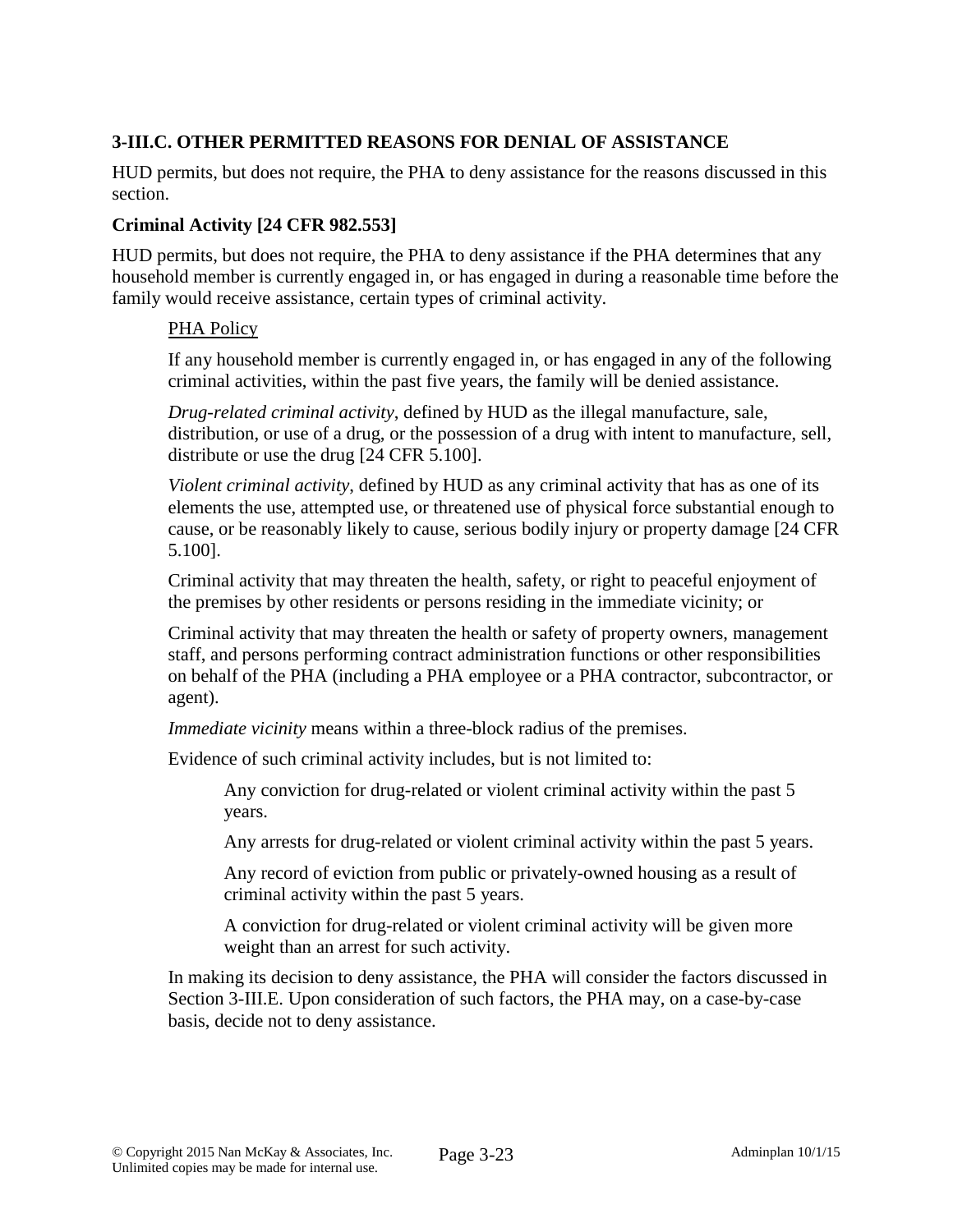## **3-III.C. OTHER PERMITTED REASONS FOR DENIAL OF ASSISTANCE**

HUD permits, but does not require, the PHA to deny assistance for the reasons discussed in this section.

### **Criminal Activity [24 CFR 982.553]**

HUD permits, but does not require, the PHA to deny assistance if the PHA determines that any household member is currently engaged in, or has engaged in during a reasonable time before the family would receive assistance, certain types of criminal activity.

### PHA Policy

If any household member is currently engaged in, or has engaged in any of the following criminal activities, within the past five years, the family will be denied assistance.

*Drug-related criminal activity*, defined by HUD as the illegal manufacture, sale, distribution, or use of a drug, or the possession of a drug with intent to manufacture, sell, distribute or use the drug [24 CFR 5.100].

*Violent criminal activity*, defined by HUD as any criminal activity that has as one of its elements the use, attempted use, or threatened use of physical force substantial enough to cause, or be reasonably likely to cause, serious bodily injury or property damage [24 CFR 5.100].

Criminal activity that may threaten the health, safety, or right to peaceful enjoyment of the premises by other residents or persons residing in the immediate vicinity; or

Criminal activity that may threaten the health or safety of property owners, management staff, and persons performing contract administration functions or other responsibilities on behalf of the PHA (including a PHA employee or a PHA contractor, subcontractor, or agent).

*Immediate vicinity* means within a three-block radius of the premises.

Evidence of such criminal activity includes, but is not limited to:

Any conviction for drug-related or violent criminal activity within the past 5 years.

Any arrests for drug-related or violent criminal activity within the past 5 years.

Any record of eviction from public or privately-owned housing as a result of criminal activity within the past 5 years.

A conviction for drug-related or violent criminal activity will be given more weight than an arrest for such activity.

In making its decision to deny assistance, the PHA will consider the factors discussed in Section 3-III.E. Upon consideration of such factors, the PHA may, on a case-by-case basis, decide not to deny assistance.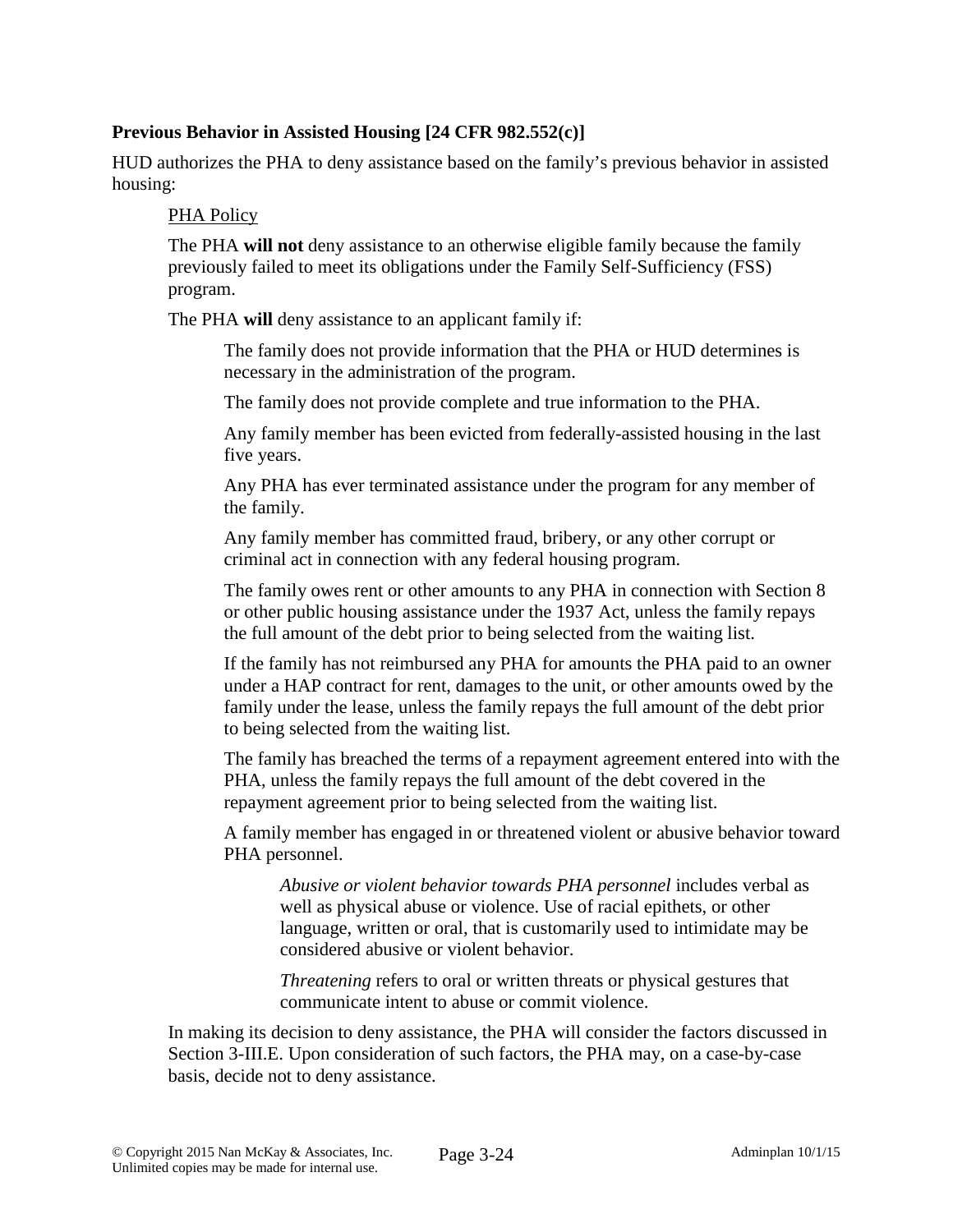### **Previous Behavior in Assisted Housing [24 CFR 982.552(c)]**

HUD authorizes the PHA to deny assistance based on the family's previous behavior in assisted housing:

#### PHA Policy

The PHA **will not** deny assistance to an otherwise eligible family because the family previously failed to meet its obligations under the Family Self-Sufficiency (FSS) program.

The PHA **will** deny assistance to an applicant family if:

The family does not provide information that the PHA or HUD determines is necessary in the administration of the program.

The family does not provide complete and true information to the PHA.

Any family member has been evicted from federally-assisted housing in the last five years.

Any PHA has ever terminated assistance under the program for any member of the family.

Any family member has committed fraud, bribery, or any other corrupt or criminal act in connection with any federal housing program.

The family owes rent or other amounts to any PHA in connection with Section 8 or other public housing assistance under the 1937 Act, unless the family repays the full amount of the debt prior to being selected from the waiting list.

If the family has not reimbursed any PHA for amounts the PHA paid to an owner under a HAP contract for rent, damages to the unit, or other amounts owed by the family under the lease, unless the family repays the full amount of the debt prior to being selected from the waiting list.

The family has breached the terms of a repayment agreement entered into with the PHA, unless the family repays the full amount of the debt covered in the repayment agreement prior to being selected from the waiting list.

A family member has engaged in or threatened violent or abusive behavior toward PHA personnel.

*Abusive or violent behavior towards PHA personnel* includes verbal as well as physical abuse or violence. Use of racial epithets, or other language, written or oral, that is customarily used to intimidate may be considered abusive or violent behavior.

*Threatening* refers to oral or written threats or physical gestures that communicate intent to abuse or commit violence.

In making its decision to deny assistance, the PHA will consider the factors discussed in Section 3-III.E. Upon consideration of such factors, the PHA may, on a case-by-case basis, decide not to deny assistance.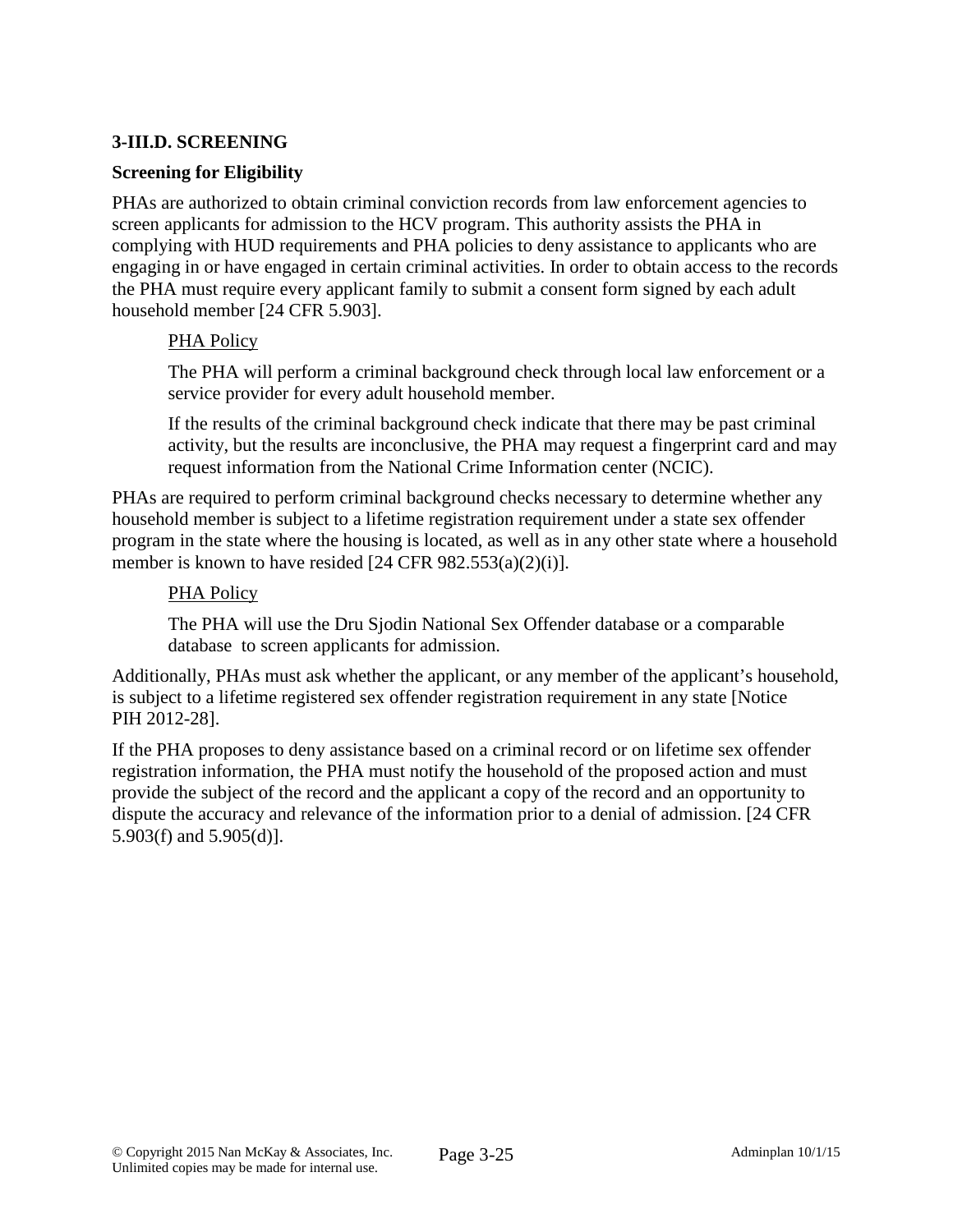## **3-III.D. SCREENING**

### **Screening for Eligibility**

PHAs are authorized to obtain criminal conviction records from law enforcement agencies to screen applicants for admission to the HCV program. This authority assists the PHA in complying with HUD requirements and PHA policies to deny assistance to applicants who are engaging in or have engaged in certain criminal activities. In order to obtain access to the records the PHA must require every applicant family to submit a consent form signed by each adult household member [24 CFR 5.903].

### PHA Policy

The PHA will perform a criminal background check through local law enforcement or a service provider for every adult household member.

If the results of the criminal background check indicate that there may be past criminal activity, but the results are inconclusive, the PHA may request a fingerprint card and may request information from the National Crime Information center (NCIC).

PHAs are required to perform criminal background checks necessary to determine whether any household member is subject to a lifetime registration requirement under a state sex offender program in the state where the housing is located, as well as in any other state where a household member is known to have resided [24 CFR 982.553(a)(2)(i)].

### PHA Policy

The PHA will use the Dru Sjodin National Sex Offender database or a comparable database to screen applicants for admission.

Additionally, PHAs must ask whether the applicant, or any member of the applicant's household, is subject to a lifetime registered sex offender registration requirement in any state [Notice PIH 2012-28].

If the PHA proposes to deny assistance based on a criminal record or on lifetime sex offender registration information, the PHA must notify the household of the proposed action and must provide the subject of the record and the applicant a copy of the record and an opportunity to dispute the accuracy and relevance of the information prior to a denial of admission. [24 CFR 5.903(f) and 5.905(d)].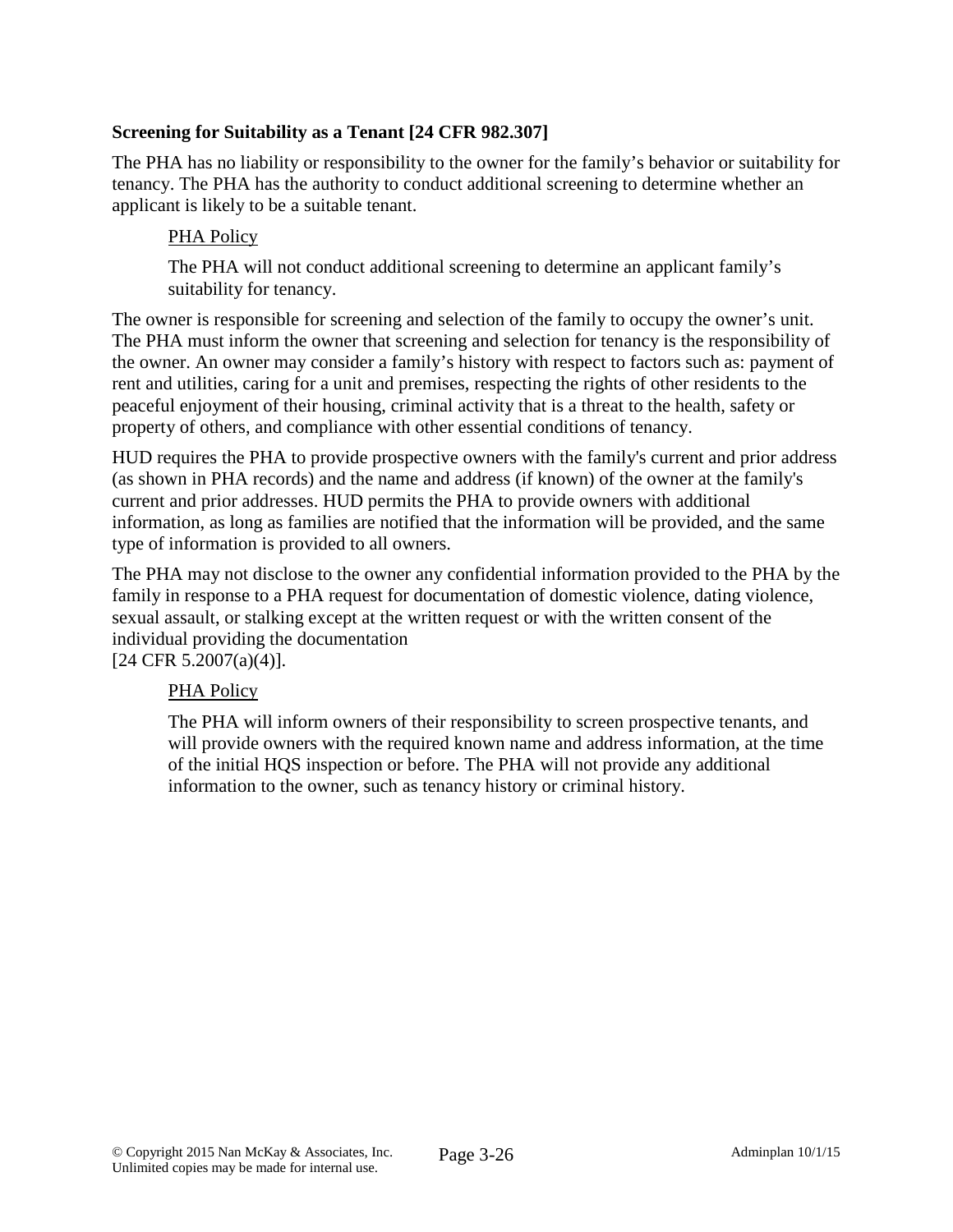## **Screening for Suitability as a Tenant [24 CFR 982.307]**

The PHA has no liability or responsibility to the owner for the family's behavior or suitability for tenancy. The PHA has the authority to conduct additional screening to determine whether an applicant is likely to be a suitable tenant.

## PHA Policy

The PHA will not conduct additional screening to determine an applicant family's suitability for tenancy.

The owner is responsible for screening and selection of the family to occupy the owner's unit. The PHA must inform the owner that screening and selection for tenancy is the responsibility of the owner. An owner may consider a family's history with respect to factors such as: payment of rent and utilities, caring for a unit and premises, respecting the rights of other residents to the peaceful enjoyment of their housing, criminal activity that is a threat to the health, safety or property of others, and compliance with other essential conditions of tenancy.

HUD requires the PHA to provide prospective owners with the family's current and prior address (as shown in PHA records) and the name and address (if known) of the owner at the family's current and prior addresses. HUD permits the PHA to provide owners with additional information, as long as families are notified that the information will be provided, and the same type of information is provided to all owners.

The PHA may not disclose to the owner any confidential information provided to the PHA by the family in response to a PHA request for documentation of domestic violence, dating violence, sexual assault, or stalking except at the written request or with the written consent of the individual providing the documentation

[24 CFR 5.2007(a)(4)].

### PHA Policy

The PHA will inform owners of their responsibility to screen prospective tenants, and will provide owners with the required known name and address information, at the time of the initial HQS inspection or before. The PHA will not provide any additional information to the owner, such as tenancy history or criminal history.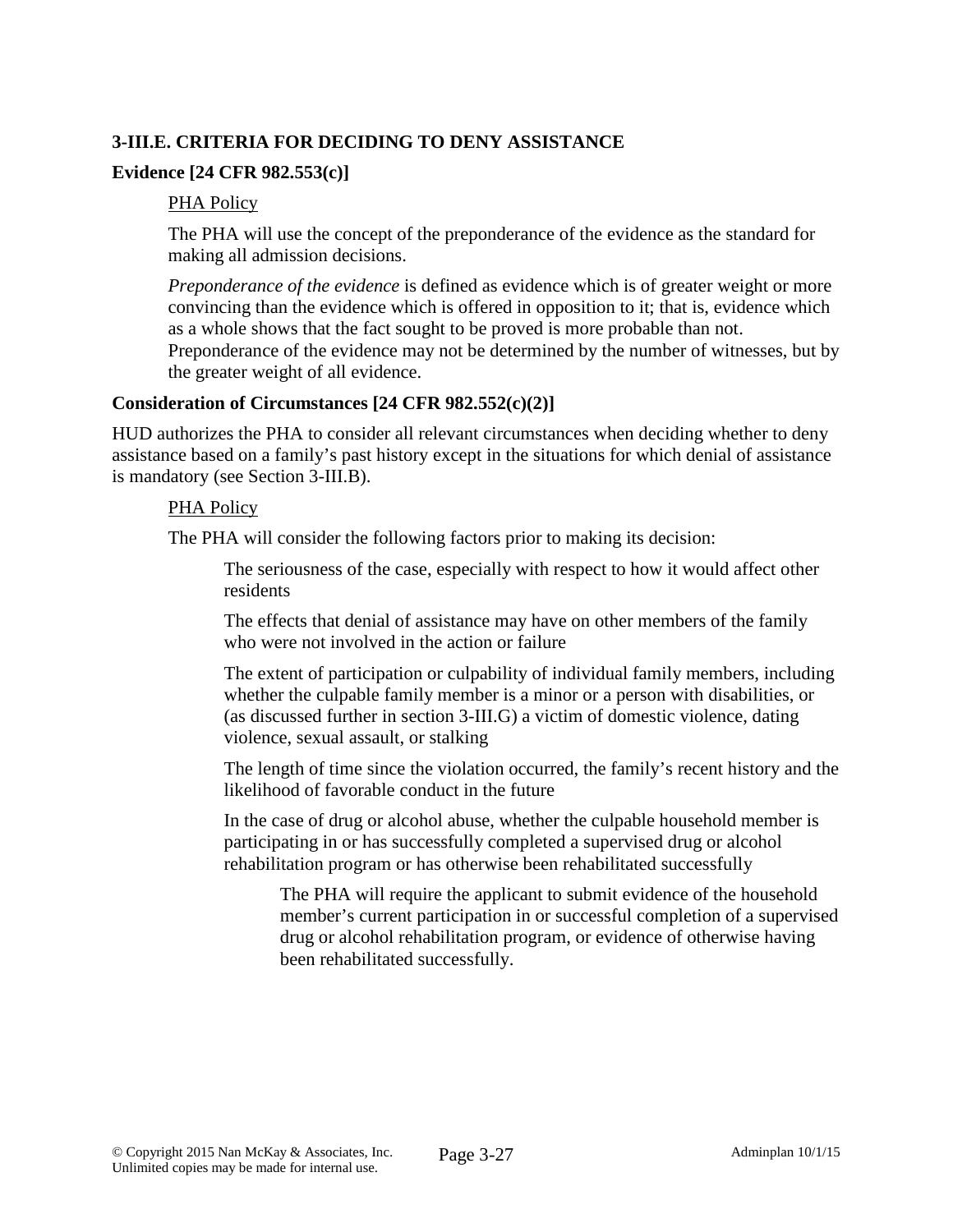## **3-III.E. CRITERIA FOR DECIDING TO DENY ASSISTANCE**

### **Evidence [24 CFR 982.553(c)]**

#### PHA Policy

The PHA will use the concept of the preponderance of the evidence as the standard for making all admission decisions.

*Preponderance of the evidence* is defined as evidence which is of greater weight or more convincing than the evidence which is offered in opposition to it; that is, evidence which as a whole shows that the fact sought to be proved is more probable than not. Preponderance of the evidence may not be determined by the number of witnesses, but by the greater weight of all evidence.

### **Consideration of Circumstances [24 CFR 982.552(c)(2)]**

HUD authorizes the PHA to consider all relevant circumstances when deciding whether to deny assistance based on a family's past history except in the situations for which denial of assistance is mandatory (see Section 3-III.B).

#### PHA Policy

The PHA will consider the following factors prior to making its decision:

The seriousness of the case, especially with respect to how it would affect other residents

The effects that denial of assistance may have on other members of the family who were not involved in the action or failure

The extent of participation or culpability of individual family members, including whether the culpable family member is a minor or a person with disabilities, or (as discussed further in section 3-III.G) a victim of domestic violence, dating violence, sexual assault, or stalking

The length of time since the violation occurred, the family's recent history and the likelihood of favorable conduct in the future

In the case of drug or alcohol abuse, whether the culpable household member is participating in or has successfully completed a supervised drug or alcohol rehabilitation program or has otherwise been rehabilitated successfully

The PHA will require the applicant to submit evidence of the household member's current participation in or successful completion of a supervised drug or alcohol rehabilitation program, or evidence of otherwise having been rehabilitated successfully.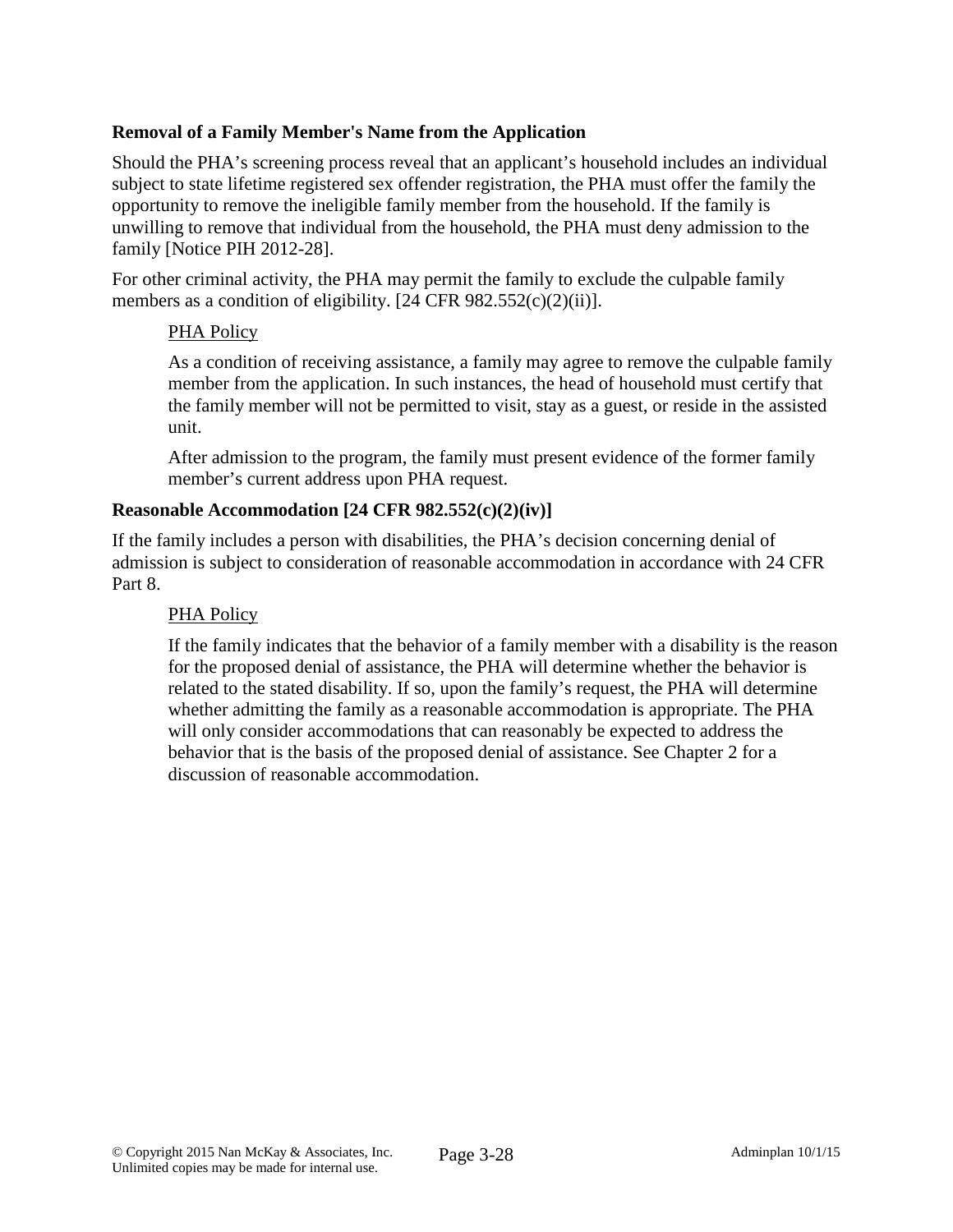## **Removal of a Family Member's Name from the Application**

Should the PHA's screening process reveal that an applicant's household includes an individual subject to state lifetime registered sex offender registration, the PHA must offer the family the opportunity to remove the ineligible family member from the household. If the family is unwilling to remove that individual from the household, the PHA must deny admission to the family [Notice PIH 2012-28].

For other criminal activity, the PHA may permit the family to exclude the culpable family members as a condition of eligibility. [24 CFR 982.552(c)(2)(ii)].

### PHA Policy

As a condition of receiving assistance, a family may agree to remove the culpable family member from the application. In such instances, the head of household must certify that the family member will not be permitted to visit, stay as a guest, or reside in the assisted unit.

After admission to the program, the family must present evidence of the former family member's current address upon PHA request.

### **Reasonable Accommodation [24 CFR 982.552(c)(2)(iv)]**

If the family includes a person with disabilities, the PHA's decision concerning denial of admission is subject to consideration of reasonable accommodation in accordance with 24 CFR Part 8.

### PHA Policy

If the family indicates that the behavior of a family member with a disability is the reason for the proposed denial of assistance, the PHA will determine whether the behavior is related to the stated disability. If so, upon the family's request, the PHA will determine whether admitting the family as a reasonable accommodation is appropriate. The PHA will only consider accommodations that can reasonably be expected to address the behavior that is the basis of the proposed denial of assistance. See Chapter 2 for a discussion of reasonable accommodation.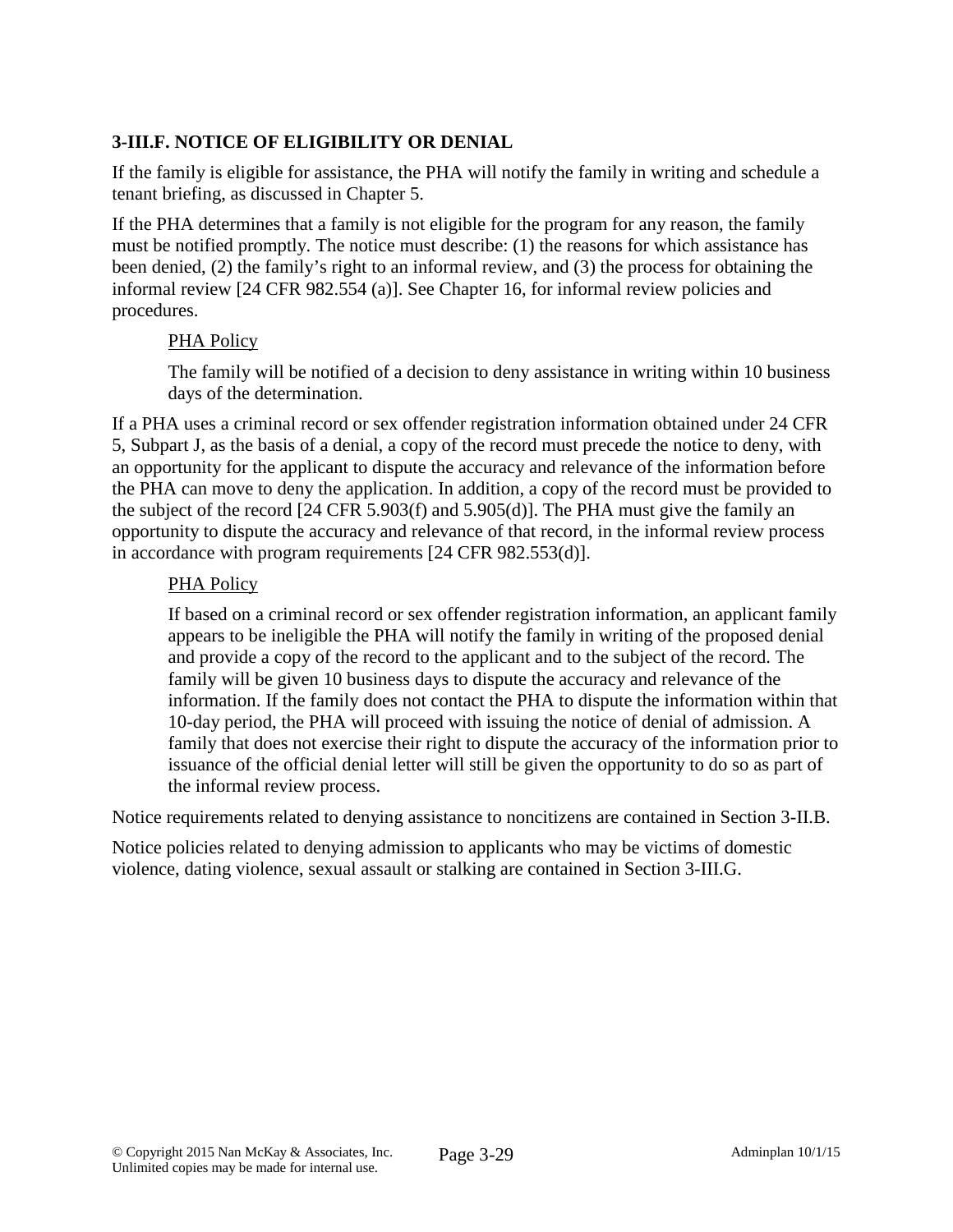# **3-III.F. NOTICE OF ELIGIBILITY OR DENIAL**

If the family is eligible for assistance, the PHA will notify the family in writing and schedule a tenant briefing, as discussed in Chapter 5.

If the PHA determines that a family is not eligible for the program for any reason, the family must be notified promptly. The notice must describe: (1) the reasons for which assistance has been denied, (2) the family's right to an informal review, and (3) the process for obtaining the informal review [24 CFR 982.554 (a)]. See Chapter 16, for informal review policies and procedures.

### PHA Policy

The family will be notified of a decision to deny assistance in writing within 10 business days of the determination.

If a PHA uses a criminal record or sex offender registration information obtained under 24 CFR 5, Subpart J, as the basis of a denial, a copy of the record must precede the notice to deny, with an opportunity for the applicant to dispute the accuracy and relevance of the information before the PHA can move to deny the application. In addition, a copy of the record must be provided to the subject of the record [24 CFR 5.903(f) and 5.905(d)]. The PHA must give the family an opportunity to dispute the accuracy and relevance of that record, in the informal review process in accordance with program requirements [24 CFR 982.553(d)].

### PHA Policy

If based on a criminal record or sex offender registration information, an applicant family appears to be ineligible the PHA will notify the family in writing of the proposed denial and provide a copy of the record to the applicant and to the subject of the record. The family will be given 10 business days to dispute the accuracy and relevance of the information. If the family does not contact the PHA to dispute the information within that 10-day period, the PHA will proceed with issuing the notice of denial of admission. A family that does not exercise their right to dispute the accuracy of the information prior to issuance of the official denial letter will still be given the opportunity to do so as part of the informal review process.

Notice requirements related to denying assistance to noncitizens are contained in Section 3-II.B.

Notice policies related to denying admission to applicants who may be victims of domestic violence, dating violence, sexual assault or stalking are contained in Section 3-III.G.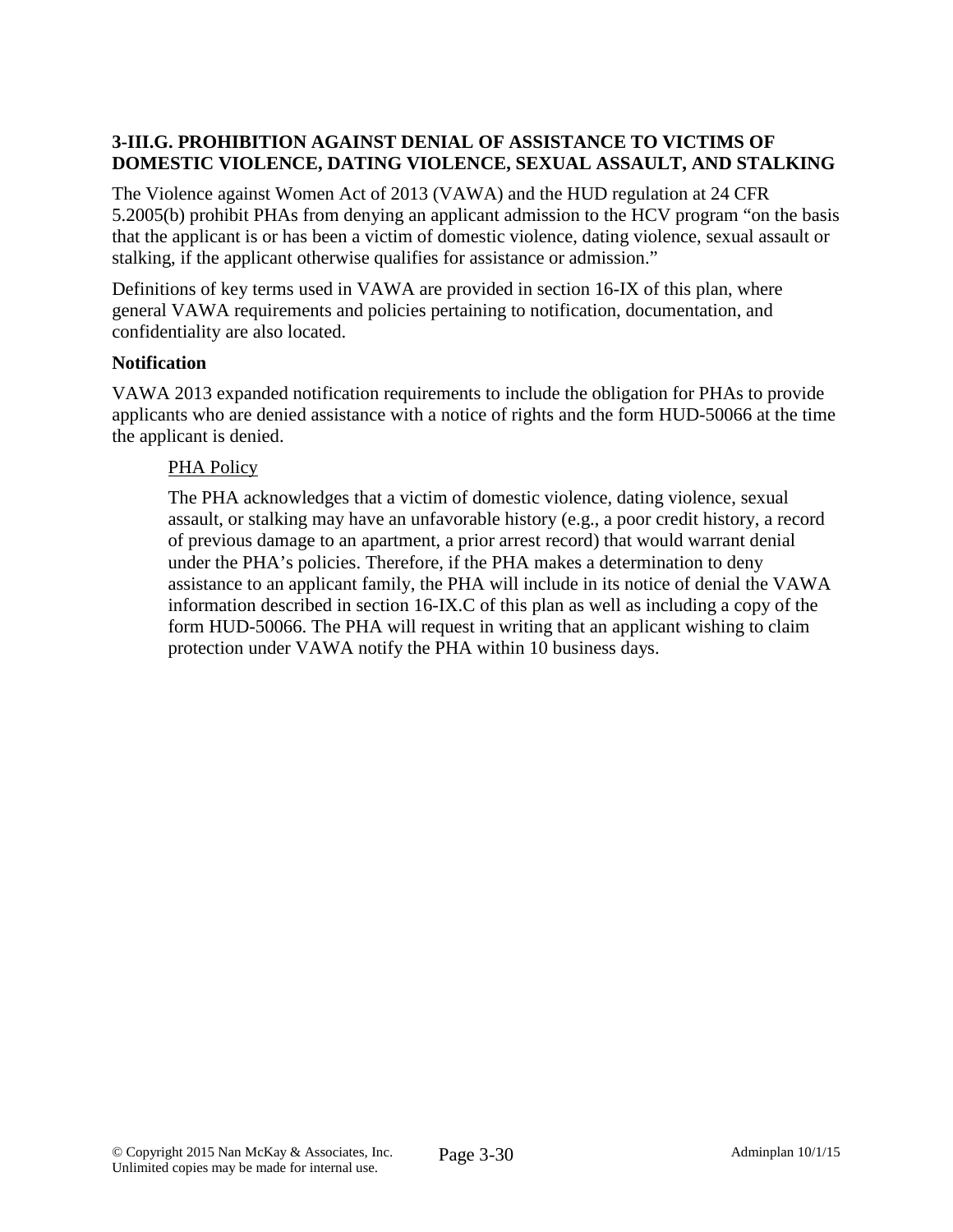# **3-III.G. PROHIBITION AGAINST DENIAL OF ASSISTANCE TO VICTIMS OF DOMESTIC VIOLENCE, DATING VIOLENCE, SEXUAL ASSAULT, AND STALKING**

The Violence against Women Act of 2013 (VAWA) and the HUD regulation at 24 CFR 5.2005(b) prohibit PHAs from denying an applicant admission to the HCV program "on the basis that the applicant is or has been a victim of domestic violence, dating violence, sexual assault or stalking, if the applicant otherwise qualifies for assistance or admission."

Definitions of key terms used in VAWA are provided in section 16-IX of this plan, where general VAWA requirements and policies pertaining to notification, documentation, and confidentiality are also located.

### **Notification**

VAWA 2013 expanded notification requirements to include the obligation for PHAs to provide applicants who are denied assistance with a notice of rights and the form HUD-50066 at the time the applicant is denied.

### PHA Policy

The PHA acknowledges that a victim of domestic violence, dating violence, sexual assault, or stalking may have an unfavorable history (e.g., a poor credit history, a record of previous damage to an apartment, a prior arrest record) that would warrant denial under the PHA's policies. Therefore, if the PHA makes a determination to deny assistance to an applicant family, the PHA will include in its notice of denial the VAWA information described in section 16-IX.C of this plan as well as including a copy of the form HUD-50066. The PHA will request in writing that an applicant wishing to claim protection under VAWA notify the PHA within 10 business days.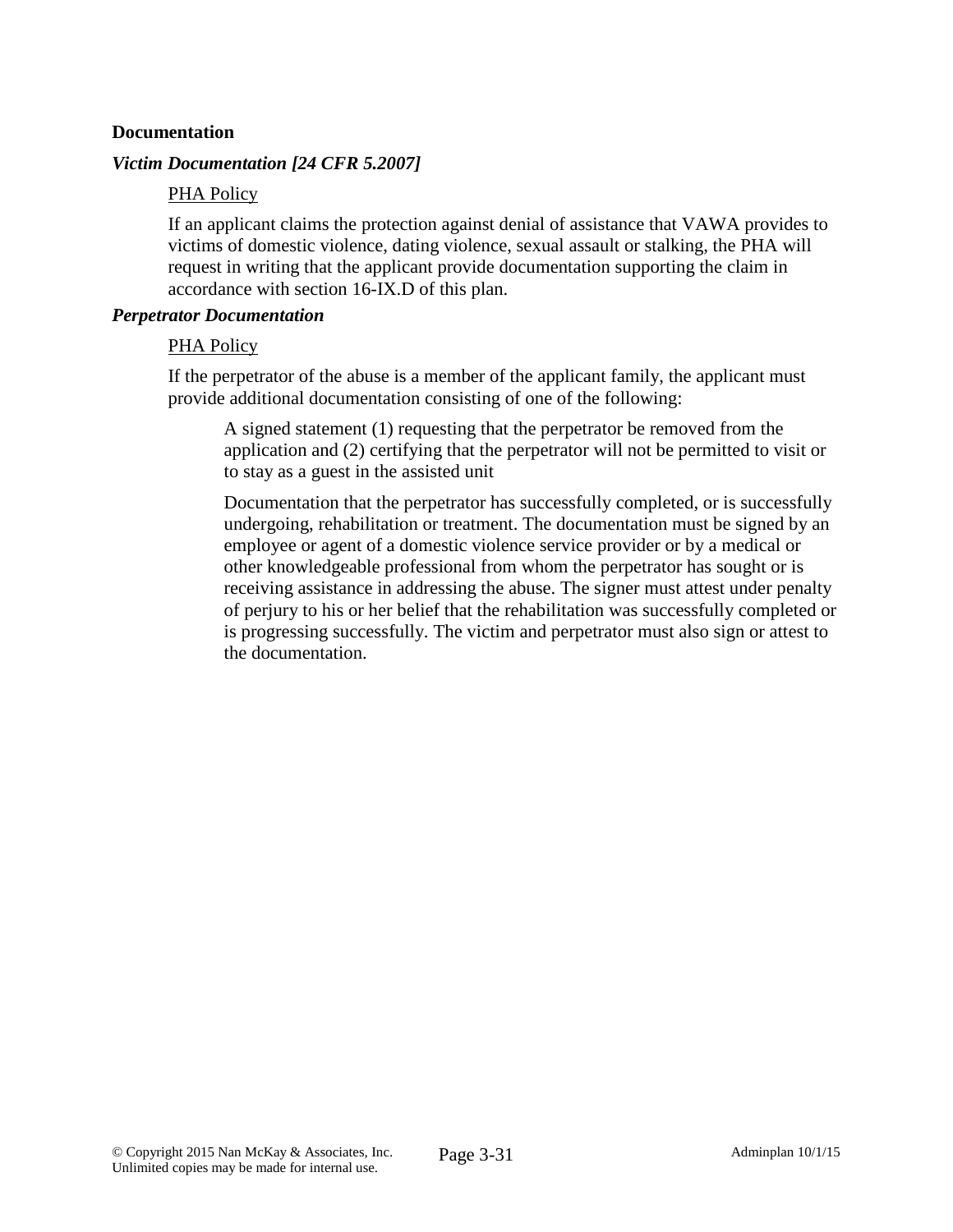#### **Documentation**

#### *Victim Documentation [24 CFR 5.2007]*

### PHA Policy

If an applicant claims the protection against denial of assistance that VAWA provides to victims of domestic violence, dating violence, sexual assault or stalking, the PHA will request in writing that the applicant provide documentation supporting the claim in accordance with section 16-IX.D of this plan.

#### *Perpetrator Documentation*

#### PHA Policy

If the perpetrator of the abuse is a member of the applicant family, the applicant must provide additional documentation consisting of one of the following:

A signed statement (1) requesting that the perpetrator be removed from the application and (2) certifying that the perpetrator will not be permitted to visit or to stay as a guest in the assisted unit

Documentation that the perpetrator has successfully completed, or is successfully undergoing, rehabilitation or treatment. The documentation must be signed by an employee or agent of a domestic violence service provider or by a medical or other knowledgeable professional from whom the perpetrator has sought or is receiving assistance in addressing the abuse. The signer must attest under penalty of perjury to his or her belief that the rehabilitation was successfully completed or is progressing successfully. The victim and perpetrator must also sign or attest to the documentation.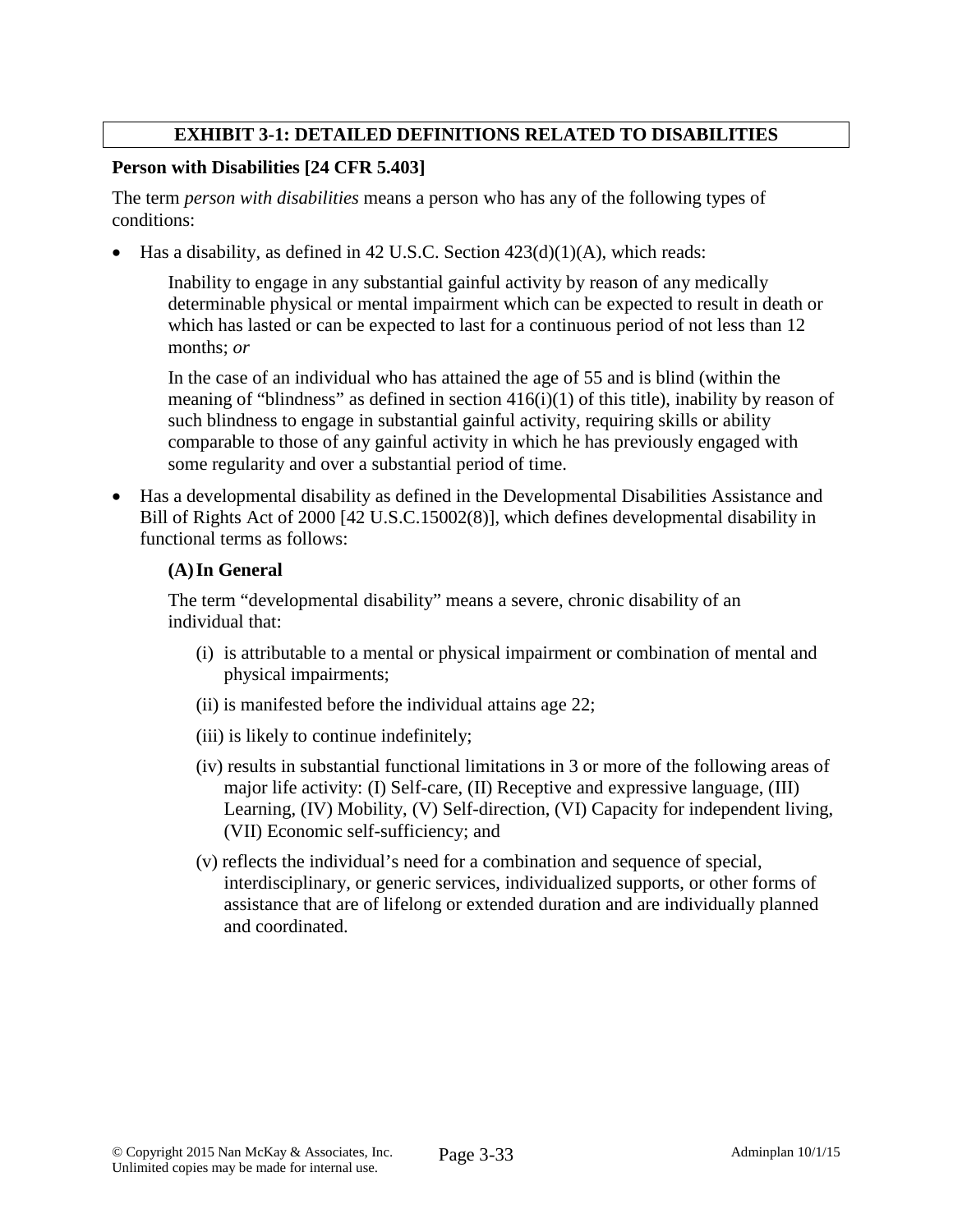## **EXHIBIT 3-1: DETAILED DEFINITIONS RELATED TO DISABILITIES**

### **Person with Disabilities [24 CFR 5.403]**

The term *person with disabilities* means a person who has any of the following types of conditions:

• Has a disability, as defined in 42 U.S.C. Section 423(d)(1)(A), which reads:

Inability to engage in any substantial gainful activity by reason of any medically determinable physical or mental impairment which can be expected to result in death or which has lasted or can be expected to last for a continuous period of not less than 12 months; *or*

In the case of an individual who has attained the age of 55 and is blind (within the meaning of "blindness" as defined in section  $416(i)(1)$  of this title), inability by reason of such blindness to engage in substantial gainful activity, requiring skills or ability comparable to those of any gainful activity in which he has previously engaged with some regularity and over a substantial period of time.

• Has a developmental disability as defined in the Developmental Disabilities Assistance and Bill of Rights Act of 2000 [42 U.S.C.15002(8)], which defines developmental disability in functional terms as follows:

### **(A)In General**

The term "developmental disability" means a severe, chronic disability of an individual that:

- (i) is attributable to a mental or physical impairment or combination of mental and physical impairments;
- (ii) is manifested before the individual attains age 22;
- (iii) is likely to continue indefinitely;
- (iv) results in substantial functional limitations in 3 or more of the following areas of major life activity: (I) Self-care, (II) Receptive and expressive language, (III) Learning, (IV) Mobility, (V) Self-direction, (VI) Capacity for independent living, (VII) Economic self-sufficiency; and
- (v) reflects the individual's need for a combination and sequence of special, interdisciplinary, or generic services, individualized supports, or other forms of assistance that are of lifelong or extended duration and are individually planned and coordinated.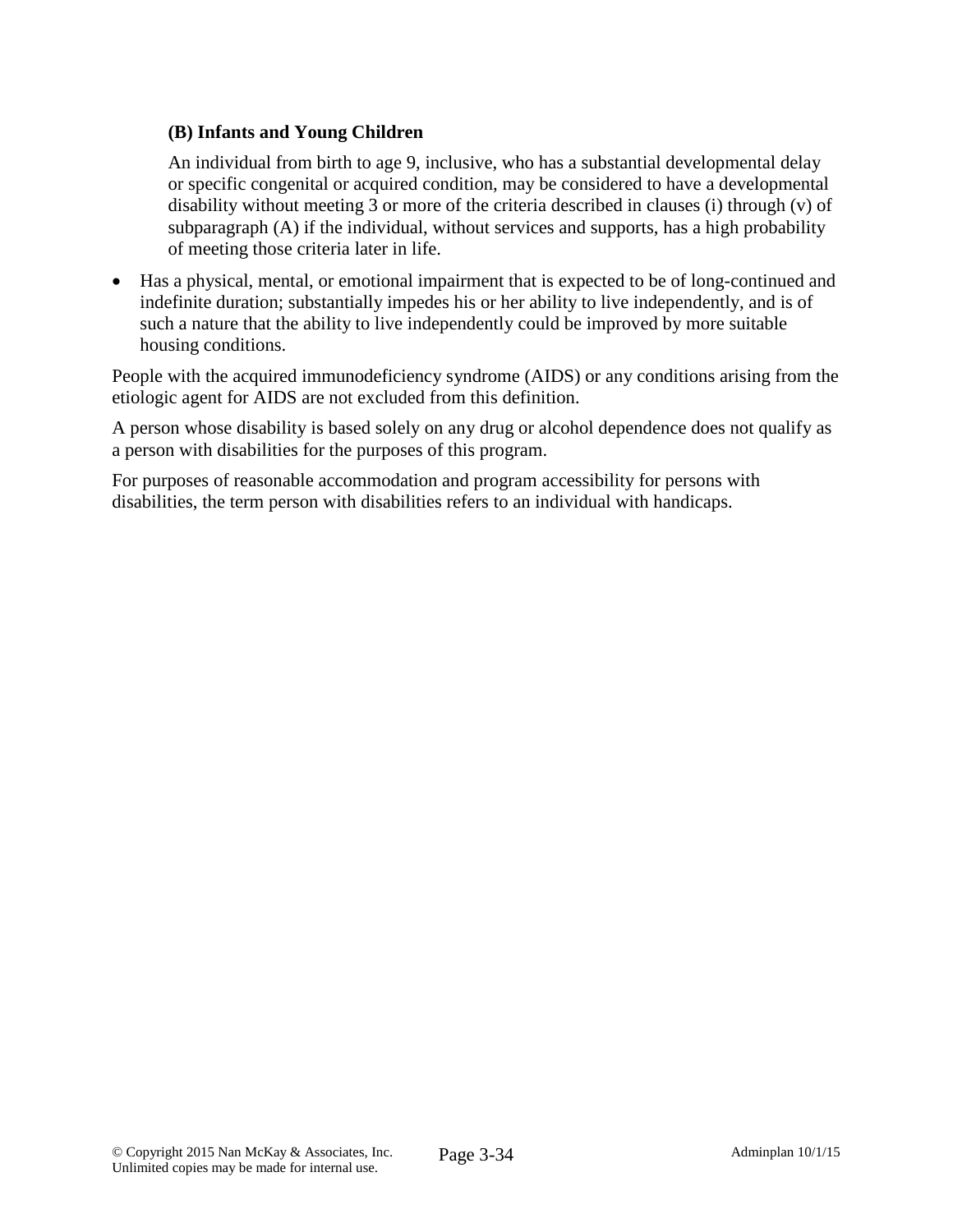## **(B) Infants and Young Children**

An individual from birth to age 9, inclusive, who has a substantial developmental delay or specific congenital or acquired condition, may be considered to have a developmental disability without meeting 3 or more of the criteria described in clauses (i) through (v) of subparagraph (A) if the individual, without services and supports, has a high probability of meeting those criteria later in life.

• Has a physical, mental, or emotional impairment that is expected to be of long-continued and indefinite duration; substantially impedes his or her ability to live independently, and is of such a nature that the ability to live independently could be improved by more suitable housing conditions.

People with the acquired immunodeficiency syndrome (AIDS) or any conditions arising from the etiologic agent for AIDS are not excluded from this definition.

A person whose disability is based solely on any drug or alcohol dependence does not qualify as a person with disabilities for the purposes of this program.

For purposes of reasonable accommodation and program accessibility for persons with disabilities, the term person with disabilities refers to an individual with handicaps.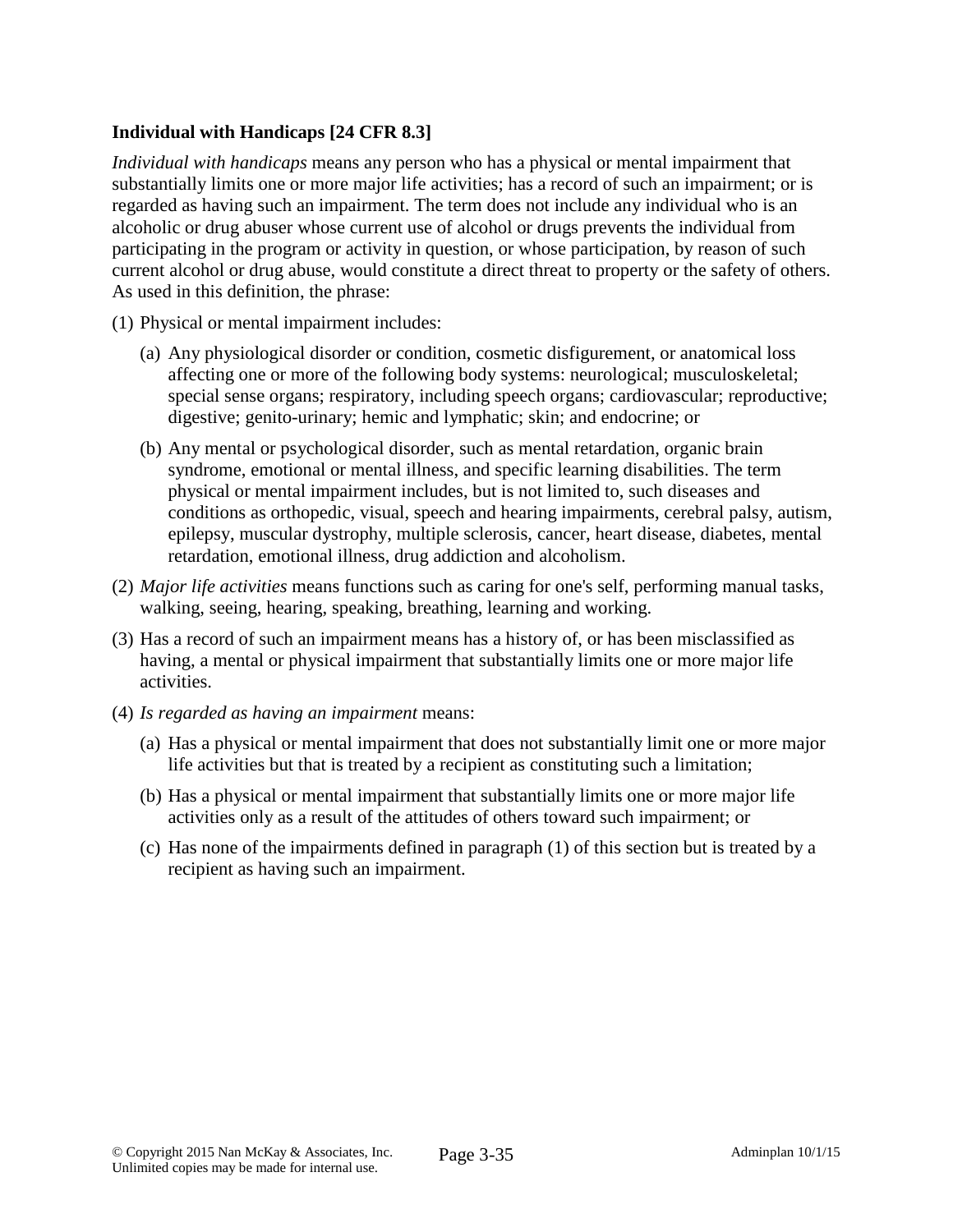# **Individual with Handicaps [24 CFR 8.3]**

*Individual with handicaps* means any person who has a physical or mental impairment that substantially limits one or more major life activities; has a record of such an impairment; or is regarded as having such an impairment. The term does not include any individual who is an alcoholic or drug abuser whose current use of alcohol or drugs prevents the individual from participating in the program or activity in question, or whose participation, by reason of such current alcohol or drug abuse, would constitute a direct threat to property or the safety of others. As used in this definition, the phrase:

- (1) Physical or mental impairment includes:
	- (a) Any physiological disorder or condition, cosmetic disfigurement, or anatomical loss affecting one or more of the following body systems: neurological; musculoskeletal; special sense organs; respiratory, including speech organs; cardiovascular; reproductive; digestive; genito-urinary; hemic and lymphatic; skin; and endocrine; or
	- (b) Any mental or psychological disorder, such as mental retardation, organic brain syndrome, emotional or mental illness, and specific learning disabilities. The term physical or mental impairment includes, but is not limited to, such diseases and conditions as orthopedic, visual, speech and hearing impairments, cerebral palsy, autism, epilepsy, muscular dystrophy, multiple sclerosis, cancer, heart disease, diabetes, mental retardation, emotional illness, drug addiction and alcoholism.
- (2) *Major life activities* means functions such as caring for one's self, performing manual tasks, walking, seeing, hearing, speaking, breathing, learning and working.
- (3) Has a record of such an impairment means has a history of, or has been misclassified as having, a mental or physical impairment that substantially limits one or more major life activities.
- (4) *Is regarded as having an impairment* means:
	- (a) Has a physical or mental impairment that does not substantially limit one or more major life activities but that is treated by a recipient as constituting such a limitation;
	- (b) Has a physical or mental impairment that substantially limits one or more major life activities only as a result of the attitudes of others toward such impairment; or
	- (c) Has none of the impairments defined in paragraph (1) of this section but is treated by a recipient as having such an impairment.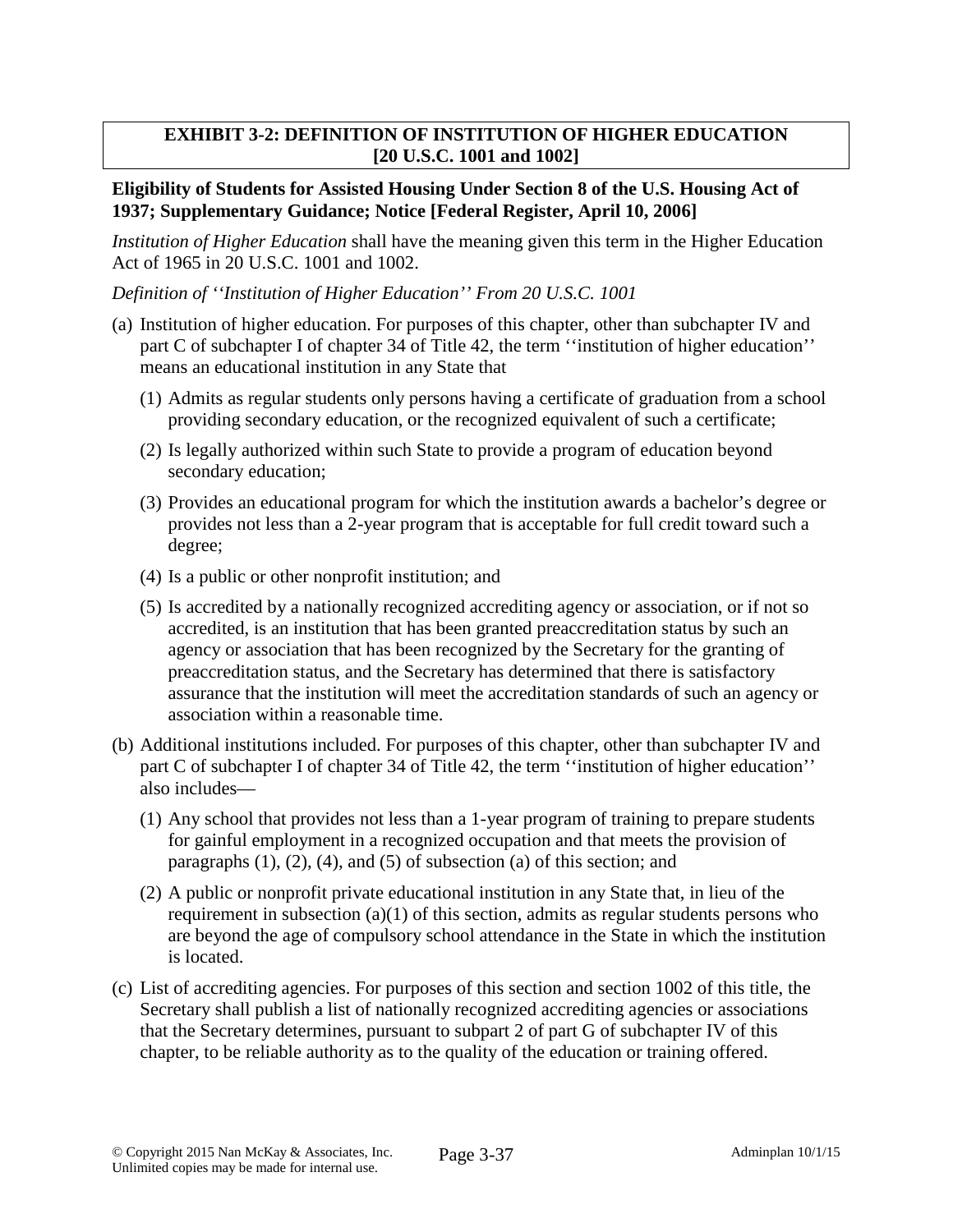### **EXHIBIT 3-2: DEFINITION OF INSTITUTION OF HIGHER EDUCATION [20 U.S.C. 1001 and 1002]**

#### **Eligibility of Students for Assisted Housing Under Section 8 of the U.S. Housing Act of 1937; Supplementary Guidance; Notice [Federal Register, April 10, 2006]**

*Institution of Higher Education* shall have the meaning given this term in the Higher Education Act of 1965 in 20 U.S.C. 1001 and 1002.

*Definition of ''Institution of Higher Education'' From 20 U.S.C. 1001*

- (a) Institution of higher education. For purposes of this chapter, other than subchapter IV and part C of subchapter I of chapter 34 of Title 42, the term "institution of higher education" means an educational institution in any State that
	- (1) Admits as regular students only persons having a certificate of graduation from a school providing secondary education, or the recognized equivalent of such a certificate;
	- (2) Is legally authorized within such State to provide a program of education beyond secondary education;
	- (3) Provides an educational program for which the institution awards a bachelor's degree or provides not less than a 2-year program that is acceptable for full credit toward such a degree;
	- (4) Is a public or other nonprofit institution; and
	- (5) Is accredited by a nationally recognized accrediting agency or association, or if not so accredited, is an institution that has been granted preaccreditation status by such an agency or association that has been recognized by the Secretary for the granting of preaccreditation status, and the Secretary has determined that there is satisfactory assurance that the institution will meet the accreditation standards of such an agency or association within a reasonable time.
- (b) Additional institutions included. For purposes of this chapter, other than subchapter IV and part C of subchapter I of chapter 34 of Title 42, the term ''institution of higher education'' also includes—
	- (1) Any school that provides not less than a 1-year program of training to prepare students for gainful employment in a recognized occupation and that meets the provision of paragraphs  $(1)$ ,  $(2)$ ,  $(4)$ , and  $(5)$  of subsection  $(a)$  of this section; and
	- (2) A public or nonprofit private educational institution in any State that, in lieu of the requirement in subsection  $(a)(1)$  of this section, admits as regular students persons who are beyond the age of compulsory school attendance in the State in which the institution is located.
- (c) List of accrediting agencies. For purposes of this section and section 1002 of this title, the Secretary shall publish a list of nationally recognized accrediting agencies or associations that the Secretary determines, pursuant to subpart 2 of part G of subchapter IV of this chapter, to be reliable authority as to the quality of the education or training offered.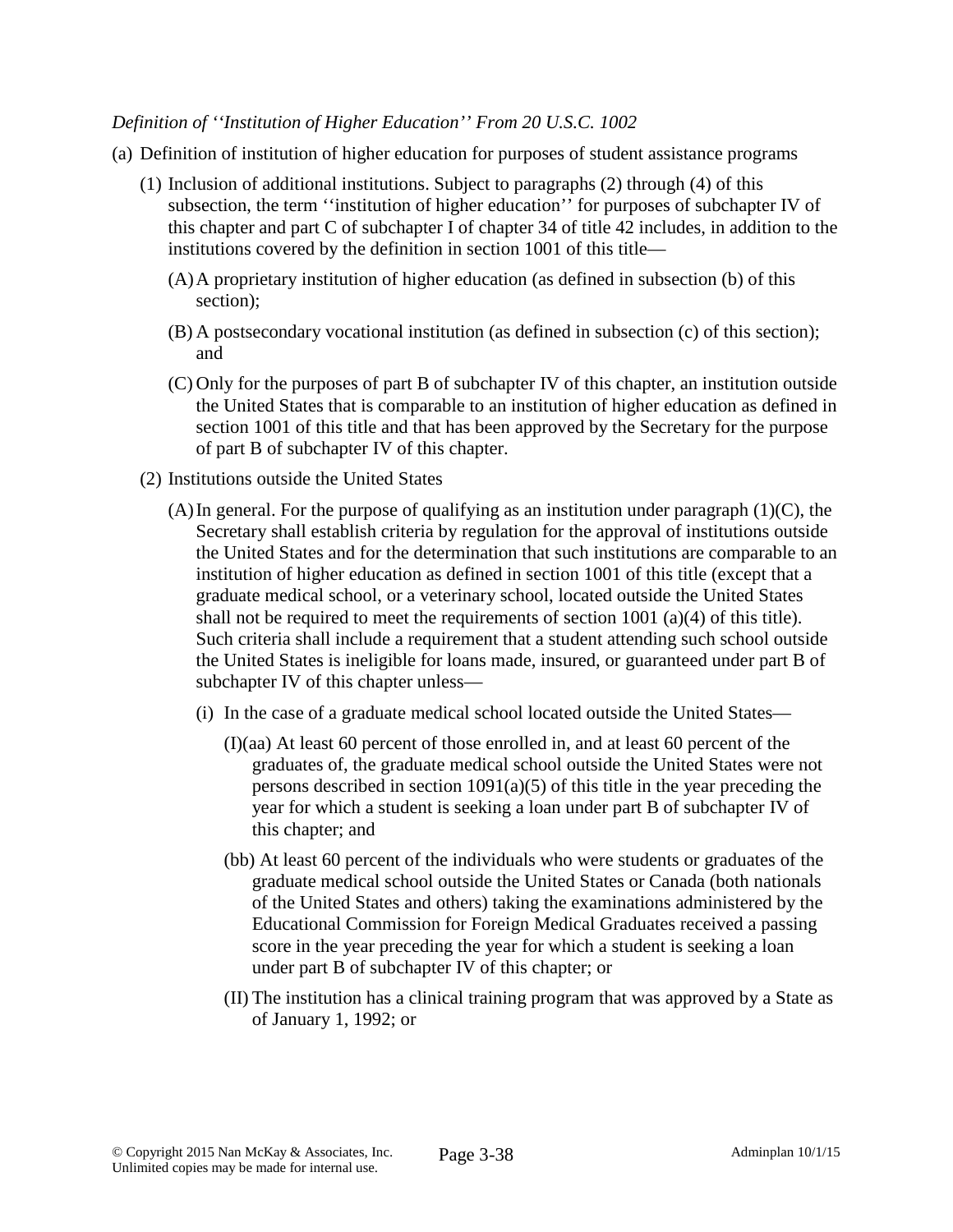#### *Definition of ''Institution of Higher Education'' From 20 U.S.C. 1002*

- (a) Definition of institution of higher education for purposes of student assistance programs
	- (1) Inclusion of additional institutions. Subject to paragraphs (2) through (4) of this subsection, the term ''institution of higher education'' for purposes of subchapter IV of this chapter and part C of subchapter I of chapter 34 of title 42 includes, in addition to the institutions covered by the definition in section 1001 of this title—
		- (A)A proprietary institution of higher education (as defined in subsection (b) of this section);
		- (B) A postsecondary vocational institution (as defined in subsection (c) of this section); and
		- (C) Only for the purposes of part B of subchapter IV of this chapter, an institution outside the United States that is comparable to an institution of higher education as defined in section 1001 of this title and that has been approved by the Secretary for the purpose of part B of subchapter IV of this chapter.
	- (2) Institutions outside the United States
		- (A) In general. For the purpose of qualifying as an institution under paragraph  $(1)(C)$ , the Secretary shall establish criteria by regulation for the approval of institutions outside the United States and for the determination that such institutions are comparable to an institution of higher education as defined in section 1001 of this title (except that a graduate medical school, or a veterinary school, located outside the United States shall not be required to meet the requirements of section 1001 (a)(4) of this title). Such criteria shall include a requirement that a student attending such school outside the United States is ineligible for loans made, insured, or guaranteed under part B of subchapter IV of this chapter unless—
			- (i) In the case of a graduate medical school located outside the United States—
				- (I)(aa) At least 60 percent of those enrolled in, and at least 60 percent of the graduates of, the graduate medical school outside the United States were not persons described in section  $1091(a)(5)$  of this title in the year preceding the year for which a student is seeking a loan under part B of subchapter IV of this chapter; and
				- (bb) At least 60 percent of the individuals who were students or graduates of the graduate medical school outside the United States or Canada (both nationals of the United States and others) taking the examinations administered by the Educational Commission for Foreign Medical Graduates received a passing score in the year preceding the year for which a student is seeking a loan under part B of subchapter IV of this chapter; or
				- (II) The institution has a clinical training program that was approved by a State as of January 1, 1992; or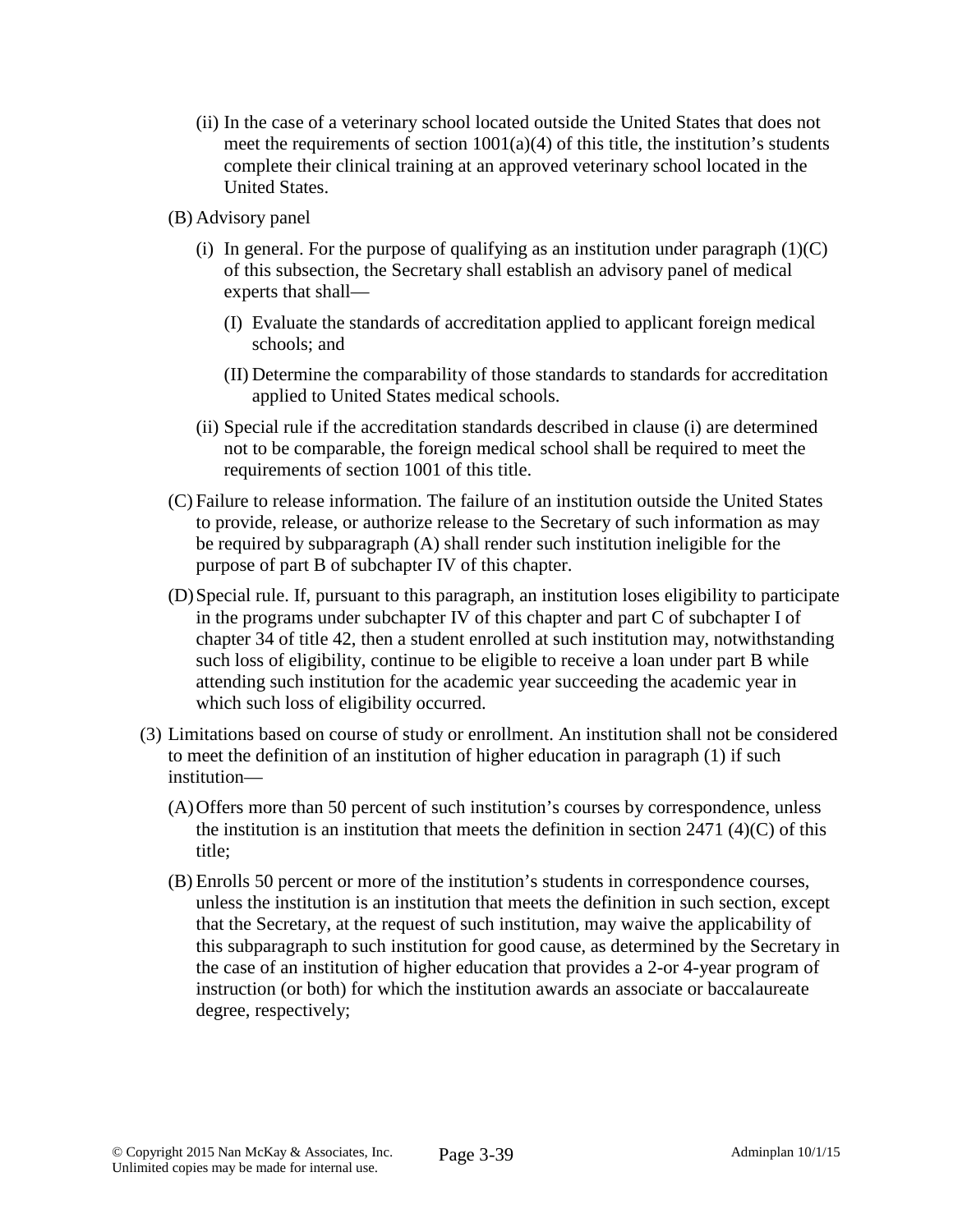- (ii) In the case of a veterinary school located outside the United States that does not meet the requirements of section  $1001(a)(4)$  of this title, the institution's students complete their clinical training at an approved veterinary school located in the United States.
- (B) Advisory panel
	- (i) In general. For the purpose of qualifying as an institution under paragraph  $(1)(C)$ of this subsection, the Secretary shall establish an advisory panel of medical experts that shall—
		- (I) Evaluate the standards of accreditation applied to applicant foreign medical schools; and
		- (II) Determine the comparability of those standards to standards for accreditation applied to United States medical schools.
	- (ii) Special rule if the accreditation standards described in clause (i) are determined not to be comparable, the foreign medical school shall be required to meet the requirements of section 1001 of this title.
- (C) Failure to release information. The failure of an institution outside the United States to provide, release, or authorize release to the Secretary of such information as may be required by subparagraph (A) shall render such institution ineligible for the purpose of part B of subchapter IV of this chapter.
- (D)Special rule. If, pursuant to this paragraph, an institution loses eligibility to participate in the programs under subchapter IV of this chapter and part C of subchapter I of chapter 34 of title 42, then a student enrolled at such institution may, notwithstanding such loss of eligibility, continue to be eligible to receive a loan under part B while attending such institution for the academic year succeeding the academic year in which such loss of eligibility occurred.
- (3) Limitations based on course of study or enrollment. An institution shall not be considered to meet the definition of an institution of higher education in paragraph (1) if such institution—
	- (A)Offers more than 50 percent of such institution's courses by correspondence, unless the institution is an institution that meets the definition in section  $2471 \frac{4}{C}$  of this title;
	- (B) Enrolls 50 percent or more of the institution's students in correspondence courses, unless the institution is an institution that meets the definition in such section, except that the Secretary, at the request of such institution, may waive the applicability of this subparagraph to such institution for good cause, as determined by the Secretary in the case of an institution of higher education that provides a 2-or 4-year program of instruction (or both) for which the institution awards an associate or baccalaureate degree, respectively;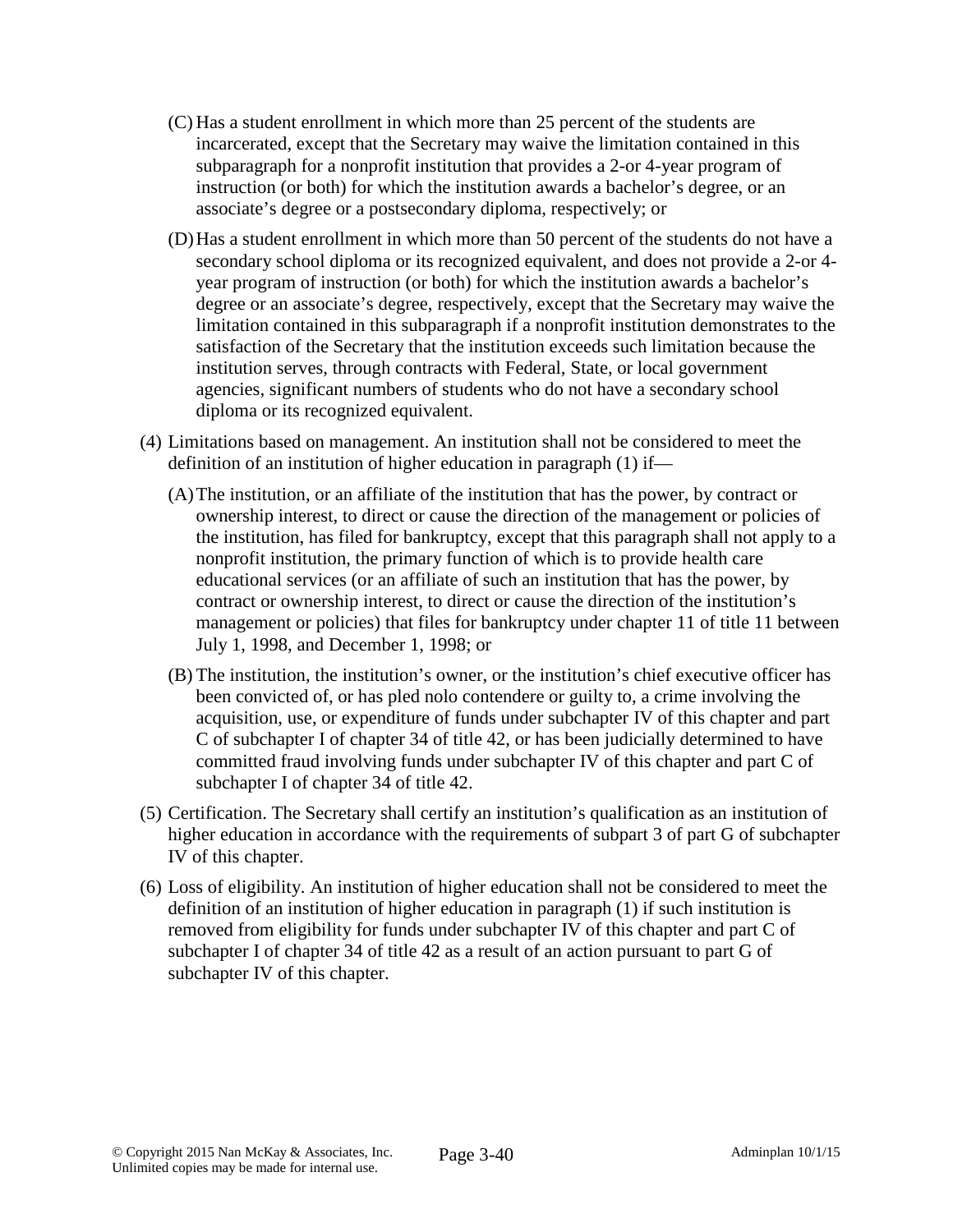- (C) Has a student enrollment in which more than 25 percent of the students are incarcerated, except that the Secretary may waive the limitation contained in this subparagraph for a nonprofit institution that provides a 2-or 4-year program of instruction (or both) for which the institution awards a bachelor's degree, or an associate's degree or a postsecondary diploma, respectively; or
- (D)Has a student enrollment in which more than 50 percent of the students do not have a secondary school diploma or its recognized equivalent, and does not provide a 2-or 4 year program of instruction (or both) for which the institution awards a bachelor's degree or an associate's degree, respectively, except that the Secretary may waive the limitation contained in this subparagraph if a nonprofit institution demonstrates to the satisfaction of the Secretary that the institution exceeds such limitation because the institution serves, through contracts with Federal, State, or local government agencies, significant numbers of students who do not have a secondary school diploma or its recognized equivalent.
- (4) Limitations based on management. An institution shall not be considered to meet the definition of an institution of higher education in paragraph (1) if—
	- (A)The institution, or an affiliate of the institution that has the power, by contract or ownership interest, to direct or cause the direction of the management or policies of the institution, has filed for bankruptcy, except that this paragraph shall not apply to a nonprofit institution, the primary function of which is to provide health care educational services (or an affiliate of such an institution that has the power, by contract or ownership interest, to direct or cause the direction of the institution's management or policies) that files for bankruptcy under chapter 11 of title 11 between July 1, 1998, and December 1, 1998; or
	- (B) The institution, the institution's owner, or the institution's chief executive officer has been convicted of, or has pled nolo contendere or guilty to, a crime involving the acquisition, use, or expenditure of funds under subchapter IV of this chapter and part C of subchapter I of chapter 34 of title 42, or has been judicially determined to have committed fraud involving funds under subchapter IV of this chapter and part C of subchapter I of chapter 34 of title 42.
- (5) Certification. The Secretary shall certify an institution's qualification as an institution of higher education in accordance with the requirements of subpart 3 of part G of subchapter IV of this chapter.
- (6) Loss of eligibility. An institution of higher education shall not be considered to meet the definition of an institution of higher education in paragraph (1) if such institution is removed from eligibility for funds under subchapter IV of this chapter and part C of subchapter I of chapter 34 of title 42 as a result of an action pursuant to part G of subchapter IV of this chapter.